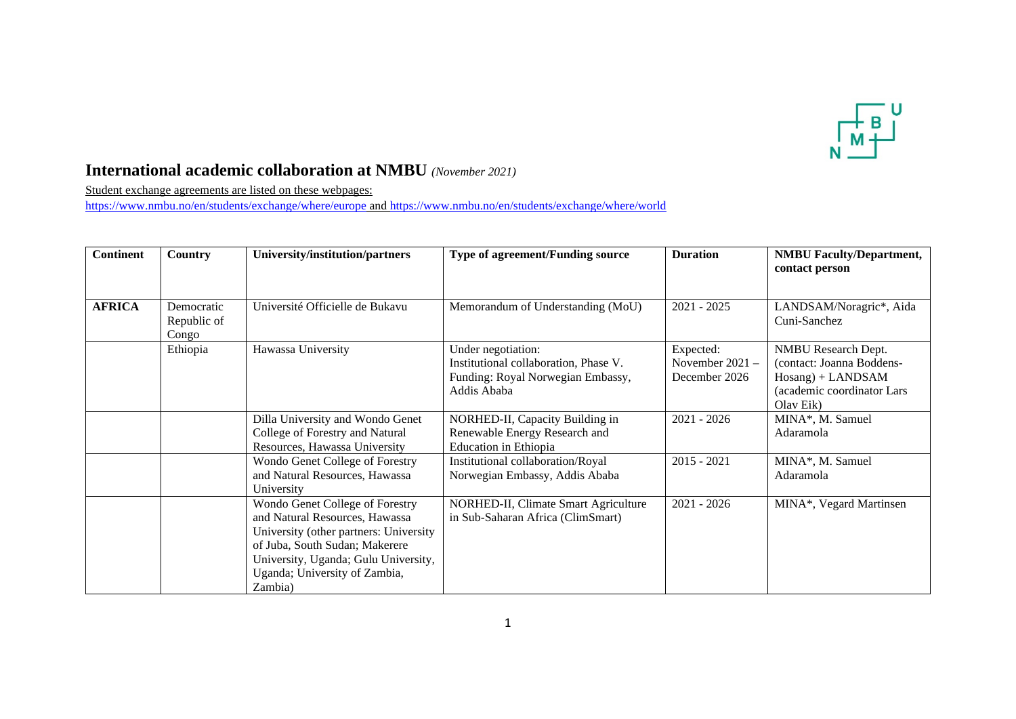

## **International academic collaboration at NMBU** *(November 2021)*

Student exchange agreements are listed on these webpages:

<https://www.nmbu.no/en/students/exchange/where/europe> and<https://www.nmbu.no/en/students/exchange/where/world>

| <b>Continent</b> | <b>Country</b>                     | University/institution/partners                                                                                                                                                                                                   | Type of agreement/Funding source                                                                                | <b>Duration</b>                               | <b>NMBU Faculty/Department,</b><br>contact person                                                                   |
|------------------|------------------------------------|-----------------------------------------------------------------------------------------------------------------------------------------------------------------------------------------------------------------------------------|-----------------------------------------------------------------------------------------------------------------|-----------------------------------------------|---------------------------------------------------------------------------------------------------------------------|
| <b>AFRICA</b>    | Democratic<br>Republic of<br>Congo | Université Officielle de Bukavu                                                                                                                                                                                                   | Memorandum of Understanding (MoU)                                                                               | $2021 - 2025$                                 | LANDSAM/Noragric*, Aida<br>Cuni-Sanchez                                                                             |
|                  | Ethiopia                           | Hawassa University                                                                                                                                                                                                                | Under negotiation:<br>Institutional collaboration, Phase V.<br>Funding: Royal Norwegian Embassy,<br>Addis Ababa | Expected:<br>November 2021 -<br>December 2026 | NMBU Research Dept.<br>(contact: Joanna Boddens-<br>$Hosang$ ) + LANDSAM<br>(academic coordinator Lars<br>Olav Eik) |
|                  |                                    | Dilla University and Wondo Genet<br>College of Forestry and Natural<br>Resources, Hawassa University                                                                                                                              | NORHED-II, Capacity Building in<br>Renewable Energy Research and<br><b>Education</b> in Ethiopia                | $2021 - 2026$                                 | MINA*, M. Samuel<br>Adaramola                                                                                       |
|                  |                                    | Wondo Genet College of Forestry<br>and Natural Resources, Hawassa<br>University                                                                                                                                                   | Institutional collaboration/Royal<br>Norwegian Embassy, Addis Ababa                                             | $2015 - 2021$                                 | MINA*, M. Samuel<br>Adaramola                                                                                       |
|                  |                                    | Wondo Genet College of Forestry<br>and Natural Resources, Hawassa<br>University (other partners: University<br>of Juba, South Sudan; Makerere<br>University, Uganda; Gulu University,<br>Uganda; University of Zambia,<br>Zambia) | NORHED-II, Climate Smart Agriculture<br>in Sub-Saharan Africa (ClimSmart)                                       | $2021 - 2026$                                 | MINA*, Vegard Martinsen                                                                                             |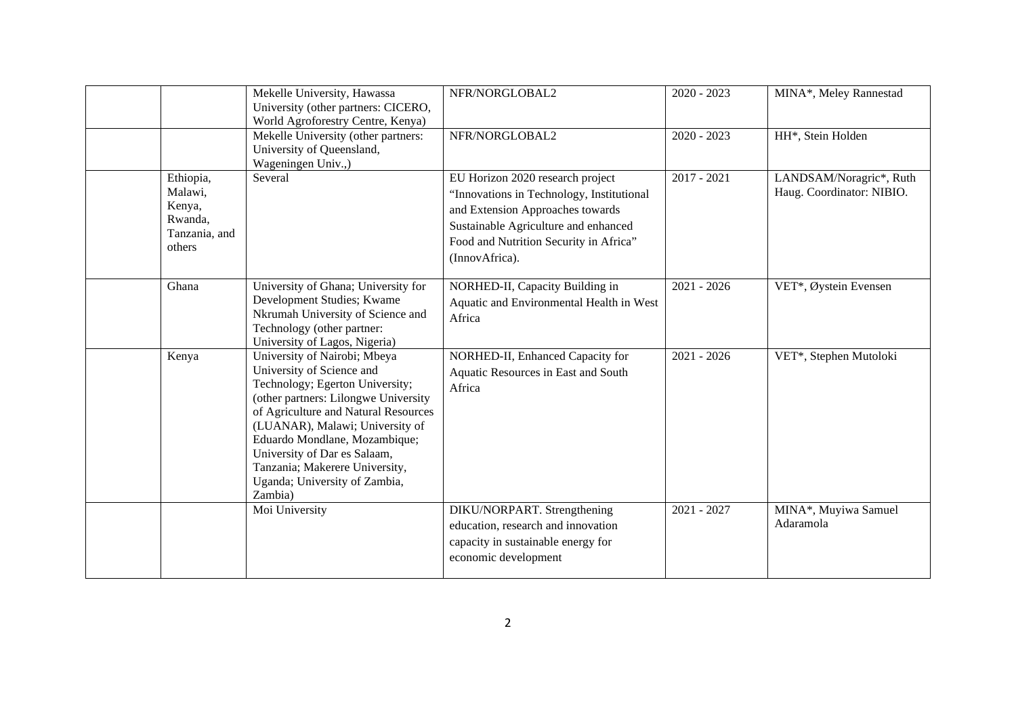|                                                                      | Mekelle University, Hawassa<br>University (other partners: CICERO,<br>World Agroforestry Centre, Kenya)                                                                                                                                                                                                                                                        | NFR/NORGLOBAL2                                                                                                                                                                                                        | $2020 - 2023$ | MINA*, Meley Rannestad                               |
|----------------------------------------------------------------------|----------------------------------------------------------------------------------------------------------------------------------------------------------------------------------------------------------------------------------------------------------------------------------------------------------------------------------------------------------------|-----------------------------------------------------------------------------------------------------------------------------------------------------------------------------------------------------------------------|---------------|------------------------------------------------------|
|                                                                      | Mekelle University (other partners:<br>University of Queensland,<br>Wageningen Univ.,)                                                                                                                                                                                                                                                                         | NFR/NORGLOBAL2                                                                                                                                                                                                        | $2020 - 2023$ | HH*, Stein Holden                                    |
| Ethiopia,<br>Malawi,<br>Kenya,<br>Rwanda,<br>Tanzania, and<br>others | Several                                                                                                                                                                                                                                                                                                                                                        | EU Horizon 2020 research project<br>"Innovations in Technology, Institutional<br>and Extension Approaches towards<br>Sustainable Agriculture and enhanced<br>Food and Nutrition Security in Africa"<br>(InnovAfrica). | $2017 - 2021$ | LANDSAM/Noragric*, Ruth<br>Haug. Coordinator: NIBIO. |
| Ghana                                                                | University of Ghana; University for<br>Development Studies; Kwame<br>Nkrumah University of Science and<br>Technology (other partner:<br>University of Lagos, Nigeria)                                                                                                                                                                                          | NORHED-II, Capacity Building in<br>Aquatic and Environmental Health in West<br>Africa                                                                                                                                 | $2021 - 2026$ | VET*, Øystein Evensen                                |
| Kenya                                                                | University of Nairobi; Mbeya<br>University of Science and<br>Technology; Egerton University;<br>(other partners: Lilongwe University<br>of Agriculture and Natural Resources<br>(LUANAR), Malawi; University of<br>Eduardo Mondlane, Mozambique;<br>University of Dar es Salaam,<br>Tanzania; Makerere University,<br>Uganda; University of Zambia,<br>Zambia) | NORHED-II, Enhanced Capacity for<br>Aquatic Resources in East and South<br>Africa                                                                                                                                     | $2021 - 2026$ | VET*, Stephen Mutoloki                               |
|                                                                      | Moi University                                                                                                                                                                                                                                                                                                                                                 | DIKU/NORPART. Strengthening<br>education, research and innovation<br>capacity in sustainable energy for<br>economic development                                                                                       | $2021 - 2027$ | MINA*, Muyiwa Samuel<br>Adaramola                    |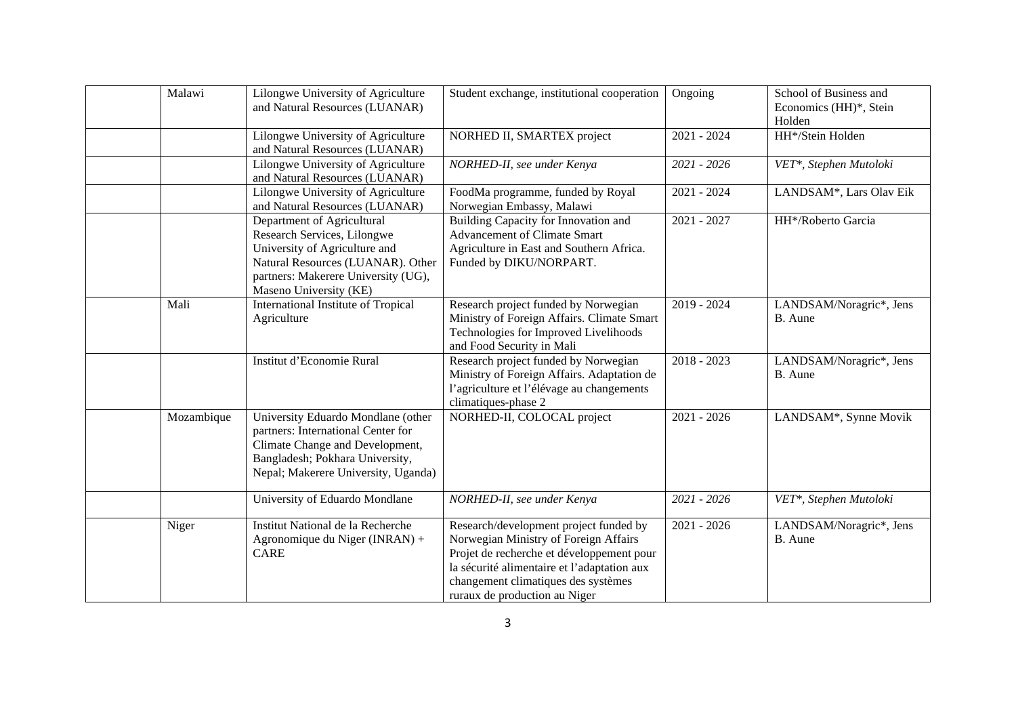| Malawi     | Lilongwe University of Agriculture<br>and Natural Resources (LUANAR)                                                                                                                             | Student exchange, institutional cooperation                                                                                                                                                                                                         | Ongoing       | School of Business and<br>Economics (HH)*, Stein<br>Holden |
|------------|--------------------------------------------------------------------------------------------------------------------------------------------------------------------------------------------------|-----------------------------------------------------------------------------------------------------------------------------------------------------------------------------------------------------------------------------------------------------|---------------|------------------------------------------------------------|
|            | Lilongwe University of Agriculture<br>and Natural Resources (LUANAR)                                                                                                                             | NORHED II, SMARTEX project                                                                                                                                                                                                                          | $2021 - 2024$ | HH*/Stein Holden                                           |
|            | Lilongwe University of Agriculture<br>and Natural Resources (LUANAR)                                                                                                                             | NORHED-II, see under Kenya                                                                                                                                                                                                                          | 2021 - 2026   | VET*, Stephen Mutoloki                                     |
|            | Lilongwe University of Agriculture<br>and Natural Resources (LUANAR)                                                                                                                             | FoodMa programme, funded by Royal<br>Norwegian Embassy, Malawi                                                                                                                                                                                      | $2021 - 2024$ | LANDSAM*, Lars Olav Eik                                    |
|            | Department of Agricultural<br>Research Services, Lilongwe<br>University of Agriculture and<br>Natural Resources (LUANAR). Other<br>partners: Makerere University (UG),<br>Maseno University (KE) | Building Capacity for Innovation and<br><b>Advancement of Climate Smart</b><br>Agriculture in East and Southern Africa.<br>Funded by DIKU/NORPART.                                                                                                  | $2021 - 2027$ | HH*/Roberto Garcia                                         |
| Mali       | International Institute of Tropical<br>Agriculture                                                                                                                                               | Research project funded by Norwegian<br>Ministry of Foreign Affairs. Climate Smart<br>Technologies for Improved Livelihoods<br>and Food Security in Mali                                                                                            | $2019 - 2024$ | LANDSAM/Noragric*, Jens<br>B. Aune                         |
|            | Institut d'Economie Rural                                                                                                                                                                        | Research project funded by Norwegian<br>Ministry of Foreign Affairs. Adaptation de<br>l'agriculture et l'élévage au changements<br>climatiques-phase 2                                                                                              | $2018 - 2023$ | LANDSAM/Noragric*, Jens<br>B. Aune                         |
| Mozambique | University Eduardo Mondlane (other<br>partners: International Center for<br>Climate Change and Development,<br>Bangladesh; Pokhara University,<br>Nepal; Makerere University, Uganda)            | NORHED-II, COLOCAL project                                                                                                                                                                                                                          | $2021 - 2026$ | LANDSAM*, Synne Movik                                      |
|            | University of Eduardo Mondlane                                                                                                                                                                   | NORHED-II, see under Kenya                                                                                                                                                                                                                          | 2021 - 2026   | VET*, Stephen Mutoloki                                     |
| Niger      | Institut National de la Recherche<br>Agronomique du Niger (INRAN) +<br><b>CARE</b>                                                                                                               | Research/development project funded by<br>Norwegian Ministry of Foreign Affairs<br>Projet de recherche et développement pour<br>la sécurité alimentaire et l'adaptation aux<br>changement climatiques des systèmes<br>ruraux de production au Niger | $2021 - 2026$ | LANDSAM/Noragric*, Jens<br>B. Aune                         |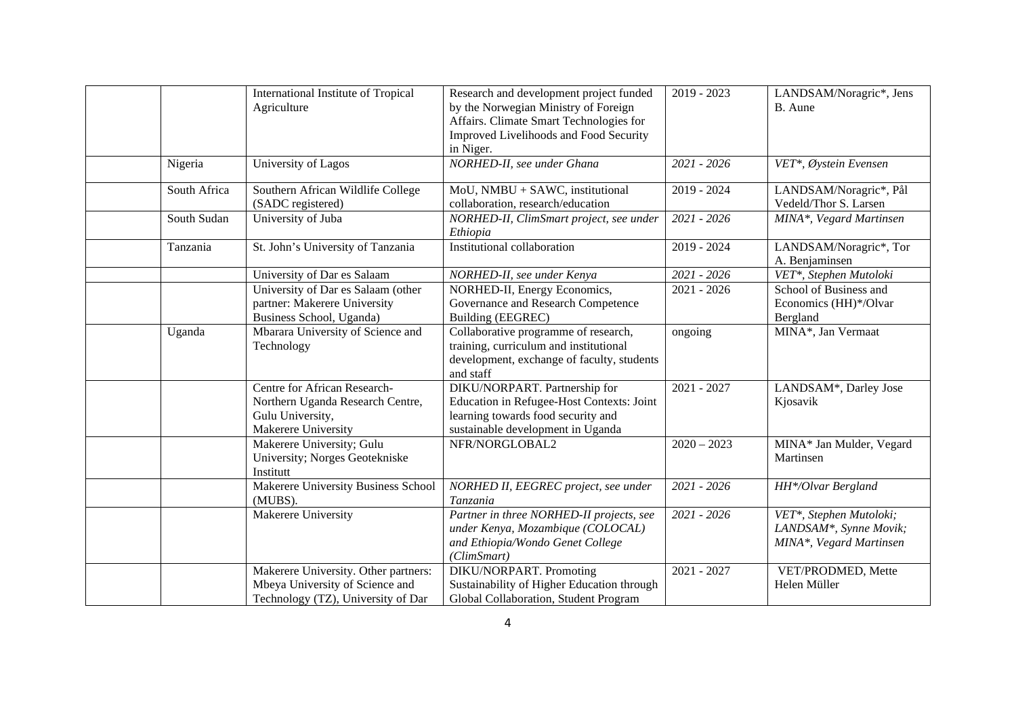|              | International Institute of Tropical<br>Agriculture                                                            | Research and development project funded<br>by the Norwegian Ministry of Foreign<br>Affairs. Climate Smart Technologies for<br>Improved Livelihoods and Food Security<br>in Niger. | $2019 - 2023$ | LANDSAM/Noragric*, Jens<br>B. Aune                                                        |
|--------------|---------------------------------------------------------------------------------------------------------------|-----------------------------------------------------------------------------------------------------------------------------------------------------------------------------------|---------------|-------------------------------------------------------------------------------------------|
| Nigeria      | University of Lagos                                                                                           | NORHED-II, see under Ghana                                                                                                                                                        | $2021 - 2026$ | VET*, Øystein Evensen                                                                     |
| South Africa | Southern African Wildlife College<br>(SADC registered)                                                        | MoU, NMBU + SAWC, institutional<br>collaboration, research/education                                                                                                              | 2019 - 2024   | LANDSAM/Noragric*, Pål<br>Vedeld/Thor S. Larsen                                           |
| South Sudan  | University of Juba                                                                                            | NORHED-II, ClimSmart project, see under<br>Ethiopia                                                                                                                               | $2021 - 2026$ | MINA*, Vegard Martinsen                                                                   |
| Tanzania     | St. John's University of Tanzania                                                                             | Institutional collaboration                                                                                                                                                       | 2019 - 2024   | LANDSAM/Noragric*, Tor<br>A. Benjaminsen                                                  |
|              | University of Dar es Salaam                                                                                   | NORHED-II, see under Kenya                                                                                                                                                        | $2021 - 2026$ | VET*, Stephen Mutoloki                                                                    |
|              | University of Dar es Salaam (other<br>partner: Makerere University<br>Business School, Uganda)                | NORHED-II, Energy Economics,<br>Governance and Research Competence<br>Building (EEGREC)                                                                                           | $2021 - 2026$ | School of Business and<br>Economics (HH)*/Olvar<br>Bergland                               |
| Uganda       | Mbarara University of Science and<br>Technology                                                               | Collaborative programme of research,<br>training, curriculum and institutional<br>development, exchange of faculty, students<br>and staff                                         | ongoing       | MINA*, Jan Vermaat                                                                        |
|              | Centre for African Research-<br>Northern Uganda Research Centre,<br>Gulu University,<br>Makerere University   | DIKU/NORPART. Partnership for<br>Education in Refugee-Host Contexts: Joint<br>learning towards food security and<br>sustainable development in Uganda                             | $2021 - 2027$ | LANDSAM*, Darley Jose<br>Kjosavik                                                         |
|              | Makerere University; Gulu<br>University; Norges Geotekniske<br>Institutt                                      | NFR/NORGLOBAL2                                                                                                                                                                    | $2020 - 2023$ | MINA* Jan Mulder, Vegard<br>Martinsen                                                     |
|              | Makerere University Business School<br>(MUBS).                                                                | NORHED II, EEGREC project, see under<br>Tanzania                                                                                                                                  | 2021 - 2026   | HH*/Olvar Bergland                                                                        |
|              | Makerere University                                                                                           | Partner in three NORHED-II projects, see<br>under Kenya, Mozambique (COLOCAL)<br>and Ethiopia/Wondo Genet College<br>(ClimSmart)                                                  | 2021 - 2026   | VET*, Stephen Mutoloki;<br>LANDSAM <sup>*</sup> , Synne Movik;<br>MINA*, Vegard Martinsen |
|              | Makerere University. Other partners:<br>Mbeya University of Science and<br>Technology (TZ), University of Dar | DIKU/NORPART. Promoting<br>Sustainability of Higher Education through<br>Global Collaboration, Student Program                                                                    | $2021 - 2027$ | VET/PRODMED, Mette<br>Helen Müller                                                        |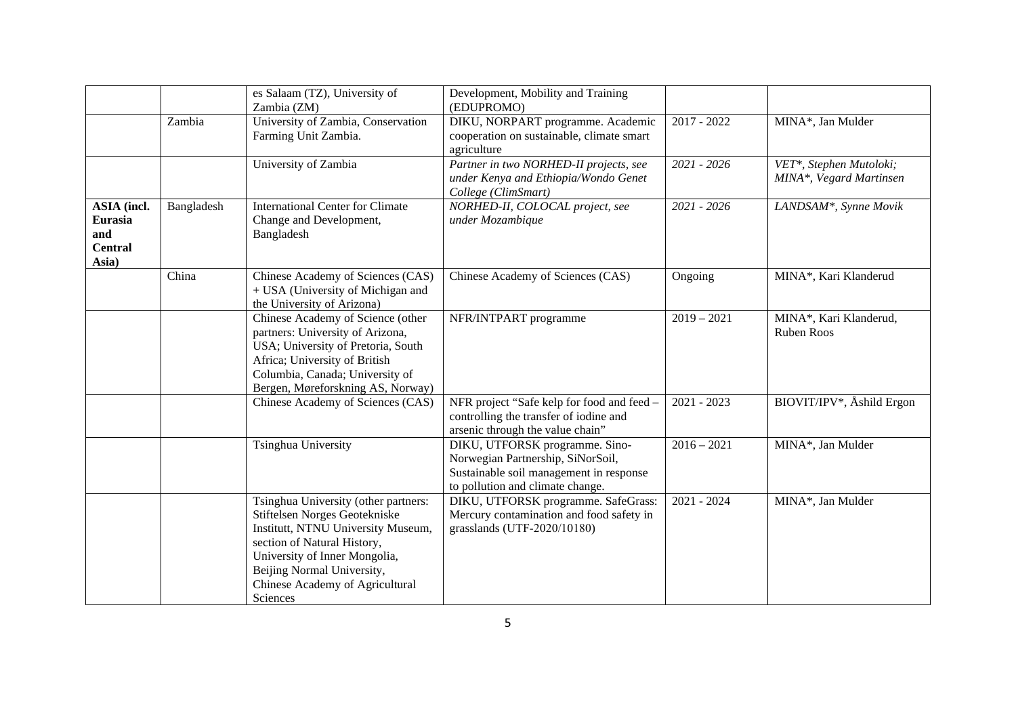|                                                                 |            | es Salaam (TZ), University of<br>Zambia (ZM)                                                                                                                                                                                                             | Development, Mobility and Training<br>(EDUPROMO)                                                                                                   |               |                                                    |
|-----------------------------------------------------------------|------------|----------------------------------------------------------------------------------------------------------------------------------------------------------------------------------------------------------------------------------------------------------|----------------------------------------------------------------------------------------------------------------------------------------------------|---------------|----------------------------------------------------|
|                                                                 | Zambia     | University of Zambia, Conservation<br>Farming Unit Zambia.                                                                                                                                                                                               | DIKU, NORPART programme. Academic<br>cooperation on sustainable, climate smart<br>agriculture                                                      | $2017 - 2022$ | MINA*, Jan Mulder                                  |
|                                                                 |            | University of Zambia                                                                                                                                                                                                                                     | Partner in two NORHED-II projects, see<br>under Kenya and Ethiopia/Wondo Genet<br>College (ClimSmart)                                              | 2021 - 2026   | VET*, Stephen Mutoloki;<br>MINA*, Vegard Martinsen |
| <b>ASIA</b> (incl.<br>Eurasia<br>and<br><b>Central</b><br>Asia) | Bangladesh | <b>International Center for Climate</b><br>Change and Development,<br>Bangladesh                                                                                                                                                                         | NORHED-II, COLOCAL project, see<br>under Mozambique                                                                                                | 2021 - 2026   | LANDSAM <sup>*</sup> , Synne Movik                 |
|                                                                 | China      | Chinese Academy of Sciences (CAS)<br>+ USA (University of Michigan and<br>the University of Arizona)                                                                                                                                                     | Chinese Academy of Sciences (CAS)                                                                                                                  | Ongoing       | MINA*, Kari Klanderud                              |
|                                                                 |            | Chinese Academy of Science (other<br>partners: University of Arizona,<br>USA; University of Pretoria, South<br>Africa; University of British<br>Columbia, Canada; University of<br>Bergen, Møreforskning AS, Norway)                                     | NFR/INTPART programme                                                                                                                              | $2019 - 2021$ | MINA*, Kari Klanderud,<br><b>Ruben Roos</b>        |
|                                                                 |            | Chinese Academy of Sciences (CAS)                                                                                                                                                                                                                        | NFR project "Safe kelp for food and feed -<br>controlling the transfer of iodine and<br>arsenic through the value chain"                           | $2021 - 2023$ | BIOVIT/IPV*, Åshild Ergon                          |
|                                                                 |            | Tsinghua University                                                                                                                                                                                                                                      | DIKU, UTFORSK programme. Sino-<br>Norwegian Partnership, SiNorSoil,<br>Sustainable soil management in response<br>to pollution and climate change. | $2016 - 2021$ | MINA*, Jan Mulder                                  |
|                                                                 |            | Tsinghua University (other partners:<br>Stiftelsen Norges Geotekniske<br>Institutt, NTNU University Museum,<br>section of Natural History,<br>University of Inner Mongolia,<br>Beijing Normal University,<br>Chinese Academy of Agricultural<br>Sciences | DIKU, UTFORSK programme. SafeGrass:<br>Mercury contamination and food safety in<br>grasslands (UTF-2020/10180)                                     | $2021 - 2024$ | MINA*, Jan Mulder                                  |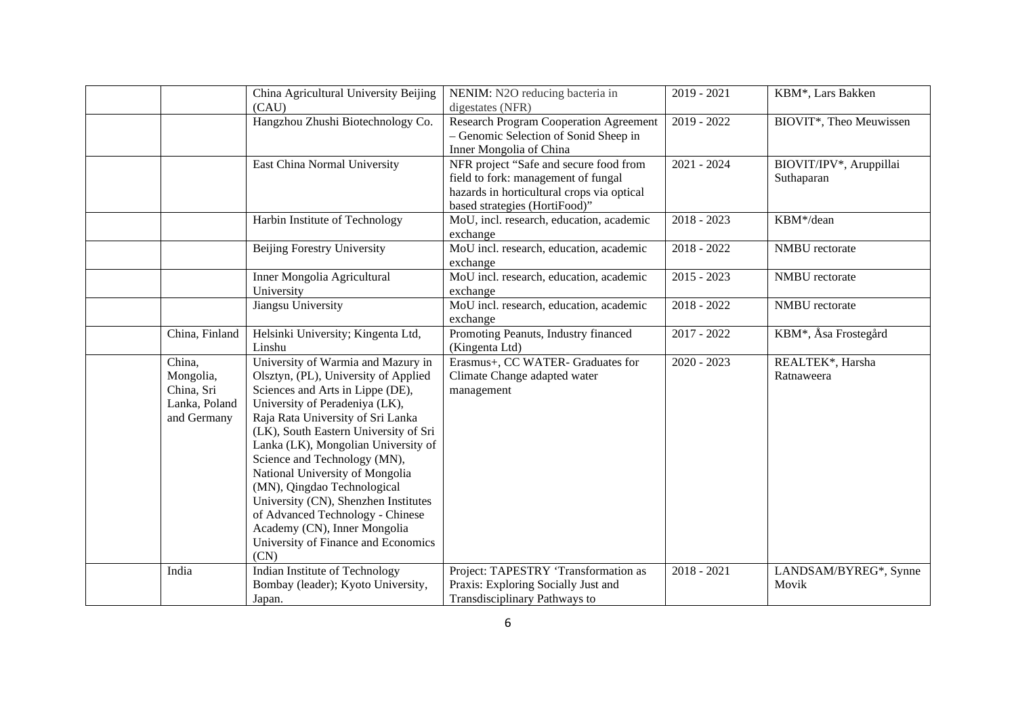|                | China Agricultural University Beijing | NENIM: N2O reducing bacteria in            | $2019 - 2021$ | KBM*, Lars Bakken                 |
|----------------|---------------------------------------|--------------------------------------------|---------------|-----------------------------------|
|                | (CAU)                                 | digestates (NFR)                           |               |                                   |
|                | Hangzhou Zhushi Biotechnology Co.     | Research Program Cooperation Agreement     | $2019 - 2022$ | BIOVIT*, Theo Meuwissen           |
|                |                                       | - Genomic Selection of Sonid Sheep in      |               |                                   |
|                |                                       | Inner Mongolia of China                    |               |                                   |
|                | East China Normal University          | NFR project "Safe and secure food from     | $2021 - 2024$ | BIOVIT/IPV*, Aruppillai           |
|                |                                       | field to fork: management of fungal        |               | Suthaparan                        |
|                |                                       | hazards in horticultural crops via optical |               |                                   |
|                |                                       | based strategies (HortiFood)"              |               |                                   |
|                | Harbin Institute of Technology        | MoU, incl. research, education, academic   | $2018 - 2023$ | KBM*/dean                         |
|                |                                       | exchange                                   |               |                                   |
|                | <b>Beijing Forestry University</b>    | MoU incl. research, education, academic    | $2018 - 2022$ | NMBU rectorate                    |
|                |                                       | exchange                                   |               |                                   |
|                | Inner Mongolia Agricultural           | MoU incl. research, education, academic    | $2015 - 2023$ | NMBU rectorate                    |
|                | University                            | exchange                                   |               |                                   |
|                | Jiangsu University                    | MoU incl. research, education, academic    | $2018 - 2022$ | NMBU rectorate                    |
|                |                                       | exchange                                   |               |                                   |
| China, Finland | Helsinki University; Kingenta Ltd,    | Promoting Peanuts, Industry financed       | $2017 - 2022$ | KBM <sup>*</sup> , Åsa Frostegård |
|                | Linshu                                | (Kingenta Ltd)                             |               |                                   |
| China,         | University of Warmia and Mazury in    | Erasmus+, CC WATER- Graduates for          | $2020 - 2023$ | REALTEK*, Harsha                  |
| Mongolia,      | Olsztyn, (PL), University of Applied  | Climate Change adapted water               |               | Ratnaweera                        |
| China, Sri     | Sciences and Arts in Lippe (DE),      | management                                 |               |                                   |
| Lanka, Poland  | University of Peradeniya (LK),        |                                            |               |                                   |
| and Germany    | Raja Rata University of Sri Lanka     |                                            |               |                                   |
|                | (LK), South Eastern University of Sri |                                            |               |                                   |
|                | Lanka (LK), Mongolian University of   |                                            |               |                                   |
|                | Science and Technology (MN),          |                                            |               |                                   |
|                | National University of Mongolia       |                                            |               |                                   |
|                | (MN), Qingdao Technological           |                                            |               |                                   |
|                | University (CN), Shenzhen Institutes  |                                            |               |                                   |
|                | of Advanced Technology - Chinese      |                                            |               |                                   |
|                | Academy (CN), Inner Mongolia          |                                            |               |                                   |
|                | University of Finance and Economics   |                                            |               |                                   |
|                | (CN)                                  |                                            |               |                                   |
| India          | Indian Institute of Technology        | Project: TAPESTRY 'Transformation as       | $2018 - 2021$ | LANDSAM/BYREG*, Synne             |
|                | Bombay (leader); Kyoto University,    | Praxis: Exploring Socially Just and        |               | Movik                             |
|                | Japan.                                | Transdisciplinary Pathways to              |               |                                   |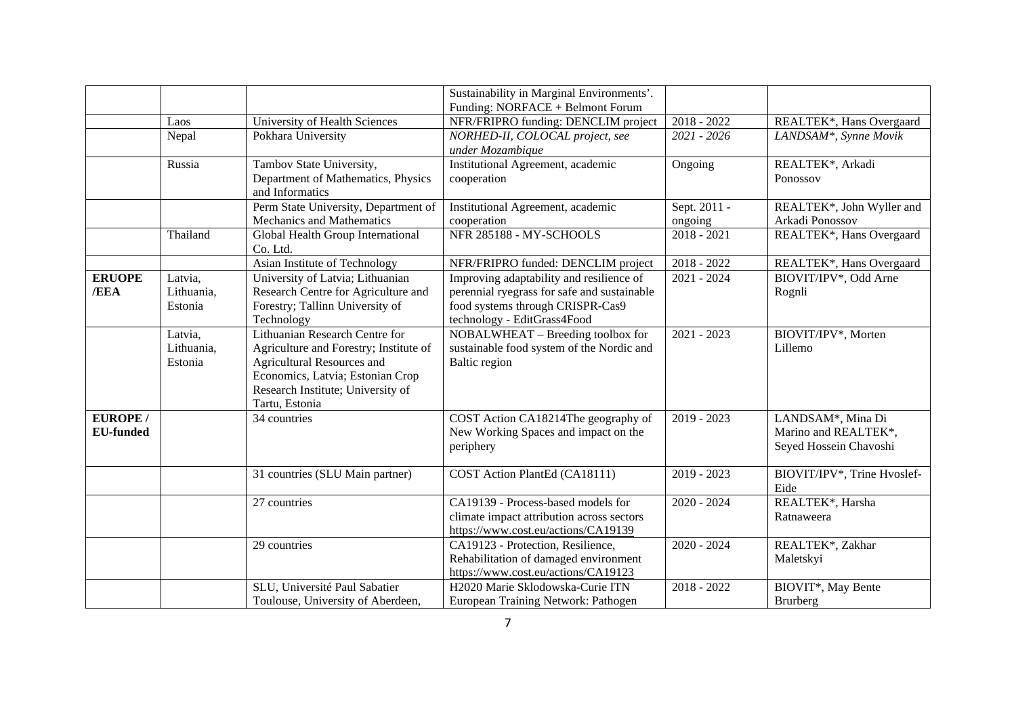|                  |            |                                        | Sustainability in Marginal Environments'.   |               |                                    |
|------------------|------------|----------------------------------------|---------------------------------------------|---------------|------------------------------------|
|                  |            |                                        | Funding: NORFACE + Belmont Forum            |               |                                    |
|                  | Laos       | University of Health Sciences          | NFR/FRIPRO funding: DENCLIM project         | $2018 - 2022$ | REALTEK*, Hans Overgaard           |
|                  | Nepal      | Pokhara University                     | NORHED-II, COLOCAL project, see             | 2021 - 2026   | LANDSAM <sup>*</sup> , Synne Movik |
|                  |            |                                        | under Mozambique                            |               |                                    |
|                  | Russia     | Tambov State University,               | Institutional Agreement, academic           | Ongoing       | REALTEK*, Arkadi                   |
|                  |            | Department of Mathematics, Physics     | cooperation                                 |               | Ponossov                           |
|                  |            | and Informatics                        |                                             |               |                                    |
|                  |            | Perm State University, Department of   | Institutional Agreement, academic           | Sept. 2011 -  | REALTEK*, John Wyller and          |
|                  |            | Mechanics and Mathematics              | cooperation                                 | ongoing       | Arkadi Ponossov                    |
|                  | Thailand   | Global Health Group International      | NFR 285188 - MY-SCHOOLS                     | $2018 - 2021$ | REALTEK*, Hans Overgaard           |
|                  |            | Co. Ltd.                               |                                             |               |                                    |
|                  |            | Asian Institute of Technology          | NFR/FRIPRO funded: DENCLIM project          | $2018 - 2022$ | REALTEK*, Hans Overgaard           |
| <b>ERUOPE</b>    | Latvia,    | University of Latvia; Lithuanian       | Improving adaptability and resilience of    | $2021 - 2024$ | BIOVIT/IPV*, Odd Arne              |
| /EEA             | Lithuania, | Research Centre for Agriculture and    | perennial ryegrass for safe and sustainable |               | Rognli                             |
|                  | Estonia    | Forestry; Tallinn University of        | food systems through CRISPR-Cas9            |               |                                    |
|                  |            | Technology                             | technology - EditGrass4Food                 |               |                                    |
|                  | Latvia,    | Lithuanian Research Centre for         | NOBALWHEAT - Breeding toolbox for           | $2021 - 2023$ | BIOVIT/IPV*, Morten                |
|                  | Lithuania, | Agriculture and Forestry; Institute of | sustainable food system of the Nordic and   |               | Lillemo                            |
|                  | Estonia    | Agricultural Resources and             | Baltic region                               |               |                                    |
|                  |            | Economics, Latvia; Estonian Crop       |                                             |               |                                    |
|                  |            | Research Institute; University of      |                                             |               |                                    |
|                  |            | Tartu, Estonia                         |                                             |               |                                    |
| <b>EUROPE/</b>   |            | 34 countries                           | COST Action CA18214The geography of         | $2019 - 2023$ | LANDSAM <sup>*</sup> , Mina Di     |
| <b>EU-funded</b> |            |                                        | New Working Spaces and impact on the        |               | Marino and REALTEK*,               |
|                  |            |                                        | periphery                                   |               | Seyed Hossein Chavoshi             |
|                  |            | 31 countries (SLU Main partner)        | COST Action PlantEd (CA18111)               | $2019 - 2023$ | BIOVIT/IPV*, Trine Hvoslef-        |
|                  |            |                                        |                                             |               | Eide                               |
|                  |            | 27 countries                           | CA19139 - Process-based models for          | $2020 - 2024$ | REALTEK*, Harsha                   |
|                  |            |                                        | climate impact attribution across sectors   |               | Ratnaweera                         |
|                  |            |                                        | https://www.cost.eu/actions/CA19139         |               |                                    |
|                  |            | 29 countries                           | CA19123 - Protection, Resilience,           | $2020 - 2024$ | REALTEK*, Zakhar                   |
|                  |            |                                        | Rehabilitation of damaged environment       |               | Maletskyi                          |
|                  |            |                                        | https://www.cost.eu/actions/CA19123         |               |                                    |
|                  |            | SLU, Université Paul Sabatier          | H2020 Marie Sklodowska-Curie ITN            | $2018 - 2022$ | BIOVIT*, May Bente                 |
|                  |            | Toulouse, University of Aberdeen,      | European Training Network: Pathogen         |               | Brurberg                           |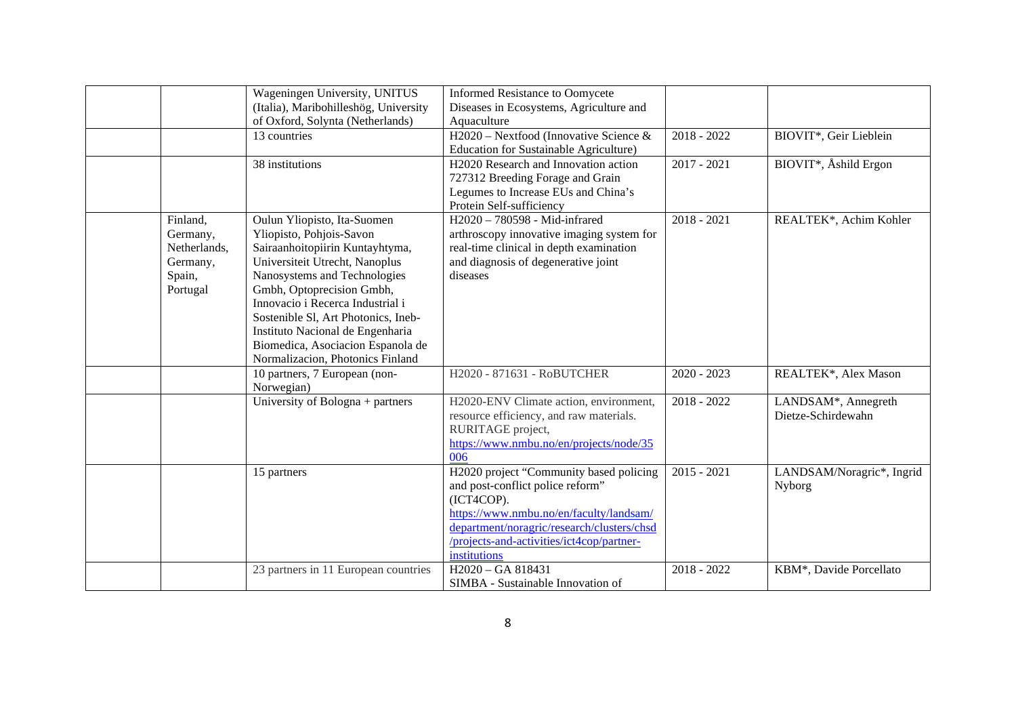|              | Wageningen University, UNITUS         | <b>Informed Resistance to Oomycete</b>           |               |                                    |
|--------------|---------------------------------------|--------------------------------------------------|---------------|------------------------------------|
|              | (Italia), Maribohilleshög, University | Diseases in Ecosystems, Agriculture and          |               |                                    |
|              | of Oxford, Solynta (Netherlands)      | Aquaculture                                      |               |                                    |
|              | 13 countries                          | H2020 – Nextfood (Innovative Science &           | $2018 - 2022$ | BIOVIT*, Geir Lieblein             |
|              |                                       | <b>Education for Sustainable Agriculture)</b>    |               |                                    |
|              | 38 institutions                       | H <sub>2020</sub> Research and Innovation action | $2017 - 2021$ | BIOVIT <sup>*</sup> , Åshild Ergon |
|              |                                       | 727312 Breeding Forage and Grain                 |               |                                    |
|              |                                       | Legumes to Increase EUs and China's              |               |                                    |
|              |                                       | Protein Self-sufficiency                         |               |                                    |
| Finland,     | Oulun Yliopisto, Ita-Suomen           | H2020 - 780598 - Mid-infrared                    | $2018 - 2021$ | REALTEK*, Achim Kohler             |
| Germany,     | Yliopisto, Pohjois-Savon              | arthroscopy innovative imaging system for        |               |                                    |
| Netherlands, | Sairaanhoitopiirin Kuntayhtyma,       | real-time clinical in depth examination          |               |                                    |
| Germany,     | Universiteit Utrecht, Nanoplus        | and diagnosis of degenerative joint              |               |                                    |
| Spain,       | Nanosystems and Technologies          | diseases                                         |               |                                    |
| Portugal     | Gmbh, Optoprecision Gmbh,             |                                                  |               |                                    |
|              | Innovacio i Recerca Industrial i      |                                                  |               |                                    |
|              | Sostenible SI, Art Photonics, Ineb-   |                                                  |               |                                    |
|              | Instituto Nacional de Engenharia      |                                                  |               |                                    |
|              | Biomedica, Asociacion Espanola de     |                                                  |               |                                    |
|              | Normalizacion, Photonics Finland      |                                                  |               |                                    |
|              | 10 partners, 7 European (non-         | H2020 - 871631 - RoBUTCHER                       | $2020 - 2023$ | REALTEK*, Alex Mason               |
|              | Norwegian)                            |                                                  |               |                                    |
|              | University of Bologna + partners      | H2020-ENV Climate action, environment,           | $2018 - 2022$ | LANDSAM*, Annegreth                |
|              |                                       | resource efficiency, and raw materials.          |               | Dietze-Schirdewahn                 |
|              |                                       | RURITAGE project,                                |               |                                    |
|              |                                       | https://www.nmbu.no/en/projects/node/35          |               |                                    |
|              |                                       | 006                                              |               |                                    |
|              | 15 partners                           | H2020 project "Community based policing          | $2015 - 2021$ | LANDSAM/Noragric*, Ingrid          |
|              |                                       | and post-conflict police reform"                 |               | Nyborg                             |
|              |                                       | (ICT4COP).                                       |               |                                    |
|              |                                       | https://www.nmbu.no/en/faculty/landsam/          |               |                                    |
|              |                                       | department/noragric/research/clusters/chsd       |               |                                    |
|              |                                       | /projects-and-activities/ict4cop/partner-        |               |                                    |
|              |                                       | institutions                                     |               |                                    |
|              | 23 partners in 11 European countries  | H <sub>2020</sub> - GA 818431                    | $2018 - 2022$ | KBM*, Davide Porcellato            |
|              |                                       | SIMBA - Sustainable Innovation of                |               |                                    |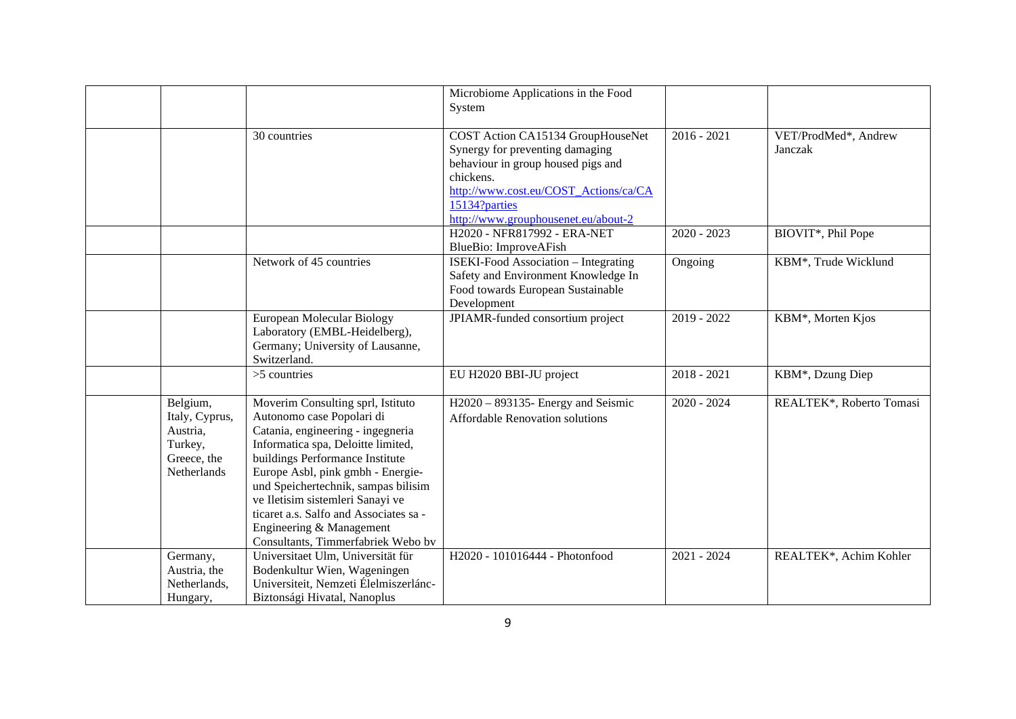|                |                                        | Microbiome Applications in the Food         |               |                          |
|----------------|----------------------------------------|---------------------------------------------|---------------|--------------------------|
|                |                                        | System                                      |               |                          |
|                |                                        |                                             |               |                          |
|                | 30 countries                           | COST Action CA15134 GroupHouseNet           | $2016 - 2021$ | VET/ProdMed*, Andrew     |
|                |                                        | Synergy for preventing damaging             |               | Janczak                  |
|                |                                        | behaviour in group housed pigs and          |               |                          |
|                |                                        | chickens.                                   |               |                          |
|                |                                        | http://www.cost.eu/COST_Actions/ca/CA       |               |                          |
|                |                                        | 15134?parties                               |               |                          |
|                |                                        | http://www.grouphousenet.eu/about-2         |               |                          |
|                |                                        | H2020 - NFR817992 - ERA-NET                 | $2020 - 2023$ | BIOVIT*, Phil Pope       |
|                |                                        | BlueBio: ImproveAFish                       |               |                          |
|                | Network of 45 countries                | <b>ISEKI-Food Association – Integrating</b> | Ongoing       | KBM*, Trude Wicklund     |
|                |                                        | Safety and Environment Knowledge In         |               |                          |
|                |                                        | Food towards European Sustainable           |               |                          |
|                |                                        | Development                                 |               |                          |
|                | European Molecular Biology             | JPIAMR-funded consortium project            | 2019 - 2022   | KBM*, Morten Kjos        |
|                | Laboratory (EMBL-Heidelberg),          |                                             |               |                          |
|                | Germany; University of Lausanne,       |                                             |               |                          |
|                | Switzerland.                           |                                             |               |                          |
|                | $>5$ countries                         | EU H2020 BBI-JU project                     | $2018 - 2021$ | KBM*, Dzung Diep         |
|                |                                        |                                             |               |                          |
| Belgium,       | Moverim Consulting sprl, Istituto      | $H2020 - 893135$ - Energy and Seismic       | $2020 - 2024$ | REALTEK*, Roberto Tomasi |
| Italy, Cyprus, | Autonomo case Popolari di              | <b>Affordable Renovation solutions</b>      |               |                          |
| Austria,       | Catania, engineering - ingegneria      |                                             |               |                          |
| Turkey,        | Informatica spa, Deloitte limited,     |                                             |               |                          |
| Greece, the    | buildings Performance Institute        |                                             |               |                          |
| Netherlands    | Europe Asbl, pink gmbh - Energie-      |                                             |               |                          |
|                | und Speichertechnik, sampas bilisim    |                                             |               |                          |
|                | ve Iletisim sistemleri Sanayi ve       |                                             |               |                          |
|                | ticaret a.s. Salfo and Associates sa - |                                             |               |                          |
|                | Engineering & Management               |                                             |               |                          |
|                | Consultants, Timmerfabriek Webo bv     |                                             |               |                          |
| Germany,       | Universitaet Ulm, Universität für      | H2020 - 101016444 - Photonfood              | $2021 - 2024$ | REALTEK*, Achim Kohler   |
| Austria, the   | Bodenkultur Wien, Wageningen           |                                             |               |                          |
| Netherlands,   | Universiteit, Nemzeti Élelmiszerlánc-  |                                             |               |                          |
| Hungary,       | Biztonsági Hivatal, Nanoplus           |                                             |               |                          |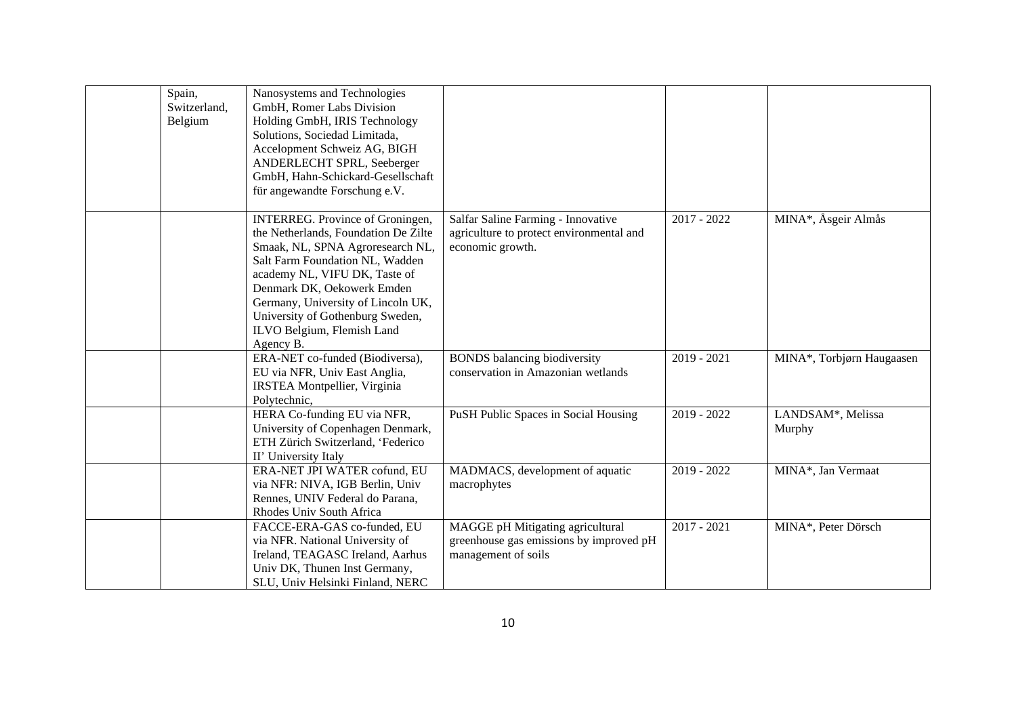| Spain,<br>Switzerland,<br>Belgium | Nanosystems and Technologies<br>GmbH, Romer Labs Division<br>Holding GmbH, IRIS Technology<br>Solutions, Sociedad Limitada,<br>Accelopment Schweiz AG, BIGH<br>ANDERLECHT SPRL, Seeberger<br>GmbH, Hahn-Schickard-Gesellschaft<br>für angewandte Forschung e.V.                                                                            |                                                                                                    |               |                                          |
|-----------------------------------|--------------------------------------------------------------------------------------------------------------------------------------------------------------------------------------------------------------------------------------------------------------------------------------------------------------------------------------------|----------------------------------------------------------------------------------------------------|---------------|------------------------------------------|
|                                   | <b>INTERREG.</b> Province of Groningen,<br>the Netherlands, Foundation De Zilte<br>Smaak, NL, SPNA Agroresearch NL,<br>Salt Farm Foundation NL, Wadden<br>academy NL, VIFU DK, Taste of<br>Denmark DK, Oekowerk Emden<br>Germany, University of Lincoln UK,<br>University of Gothenburg Sweden,<br>ILVO Belgium, Flemish Land<br>Agency B. | Salfar Saline Farming - Innovative<br>agriculture to protect environmental and<br>economic growth. | $2017 - 2022$ | MINA*, Åsgeir Almås                      |
|                                   | ERA-NET co-funded (Biodiversa),<br>EU via NFR, Univ East Anglia,<br>IRSTEA Montpellier, Virginia<br>Polytechnic,                                                                                                                                                                                                                           | <b>BONDS</b> balancing biodiversity<br>conservation in Amazonian wetlands                          | $2019 - 2021$ | MINA*, Torbjørn Haugaasen                |
|                                   | HERA Co-funding EU via NFR,<br>University of Copenhagen Denmark,<br>ETH Zürich Switzerland, 'Federico<br>II' University Italy                                                                                                                                                                                                              | PuSH Public Spaces in Social Housing                                                               | $2019 - 2022$ | LANDSAM <sup>*</sup> , Melissa<br>Murphy |
|                                   | ERA-NET JPI WATER cofund, EU<br>via NFR: NIVA, IGB Berlin, Univ<br>Rennes, UNIV Federal do Parana,<br>Rhodes Univ South Africa                                                                                                                                                                                                             | MADMACS, development of aquatic<br>macrophytes                                                     | $2019 - 2022$ | MINA*, Jan Vermaat                       |
|                                   | FACCE-ERA-GAS co-funded, EU<br>via NFR. National University of<br>Ireland, TEAGASC Ireland, Aarhus<br>Univ DK, Thunen Inst Germany,<br>SLU, Univ Helsinki Finland, NERC                                                                                                                                                                    | MAGGE pH Mitigating agricultural<br>greenhouse gas emissions by improved pH<br>management of soils | $2017 - 2021$ | MINA*, Peter Dörsch                      |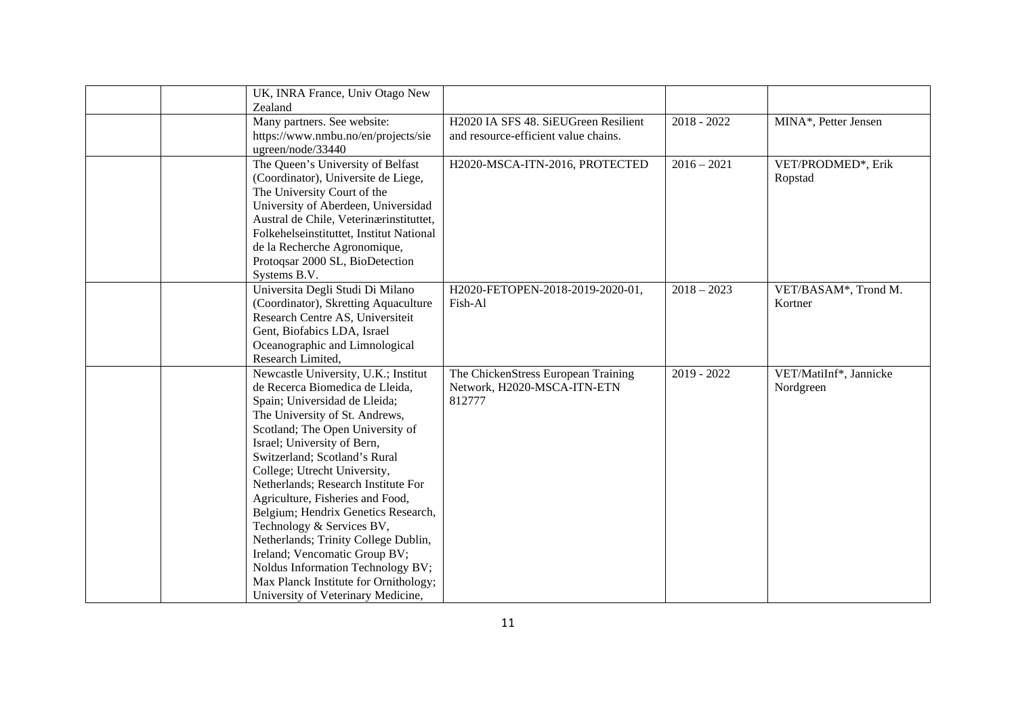| UK, INRA France, Univ Otago New<br>Zealand                      |                                       |               |                        |
|-----------------------------------------------------------------|---------------------------------------|---------------|------------------------|
| Many partners. See website:                                     | H2020 IA SFS 48. SiEUGreen Resilient  | $2018 - 2022$ | MINA*, Petter Jensen   |
| https://www.nmbu.no/en/projects/sie                             | and resource-efficient value chains.  |               |                        |
| ugreen/node/33440                                               |                                       |               |                        |
| The Queen's University of Belfast                               | H2020-MSCA-ITN-2016, PROTECTED        | $2016 - 2021$ | VET/PRODMED*, Erik     |
| (Coordinator), Universite de Liege,                             |                                       |               | Ropstad                |
| The University Court of the                                     |                                       |               |                        |
| University of Aberdeen, Universidad                             |                                       |               |                        |
| Austral de Chile, Veterinærinstituttet,                         |                                       |               |                        |
| Folkehelseinstituttet, Institut National                        |                                       |               |                        |
| de la Recherche Agronomique,                                    |                                       |               |                        |
| Protogsar 2000 SL, BioDetection                                 |                                       |               |                        |
| Systems B.V.                                                    |                                       |               |                        |
| Universita Degli Studi Di Milano                                | H2020-FETOPEN-2018-2019-2020-01,      | $2018 - 2023$ | VET/BASAM*, Trond M.   |
| (Coordinator), Skretting Aquaculture                            | Fish-Al                               |               | Kortner                |
| Research Centre AS, Universiteit                                |                                       |               |                        |
| Gent, Biofabics LDA, Israel                                     |                                       |               |                        |
| Oceanographic and Limnological                                  |                                       |               |                        |
| Research Limited,                                               |                                       |               |                        |
| Newcastle University, U.K.; Institut                            | The ChickenStress European Training   | $2019 - 2022$ | VET/MatiInf*, Jannicke |
| de Recerca Biomedica de Lleida,                                 | Network, H2020-MSCA-ITN-ETN<br>812777 |               | Nordgreen              |
| Spain; Universidad de Lleida;<br>The University of St. Andrews, |                                       |               |                        |
| Scotland; The Open University of                                |                                       |               |                        |
| Israel; University of Bern,                                     |                                       |               |                        |
| Switzerland; Scotland's Rural                                   |                                       |               |                        |
| College; Utrecht University,                                    |                                       |               |                        |
| Netherlands; Research Institute For                             |                                       |               |                        |
| Agriculture, Fisheries and Food,                                |                                       |               |                        |
| Belgium; Hendrix Genetics Research,                             |                                       |               |                        |
| Technology & Services BV,                                       |                                       |               |                        |
| Netherlands; Trinity College Dublin,                            |                                       |               |                        |
| Ireland; Vencomatic Group BV;                                   |                                       |               |                        |
| Noldus Information Technology BV;                               |                                       |               |                        |
| Max Planck Institute for Ornithology;                           |                                       |               |                        |
| University of Veterinary Medicine,                              |                                       |               |                        |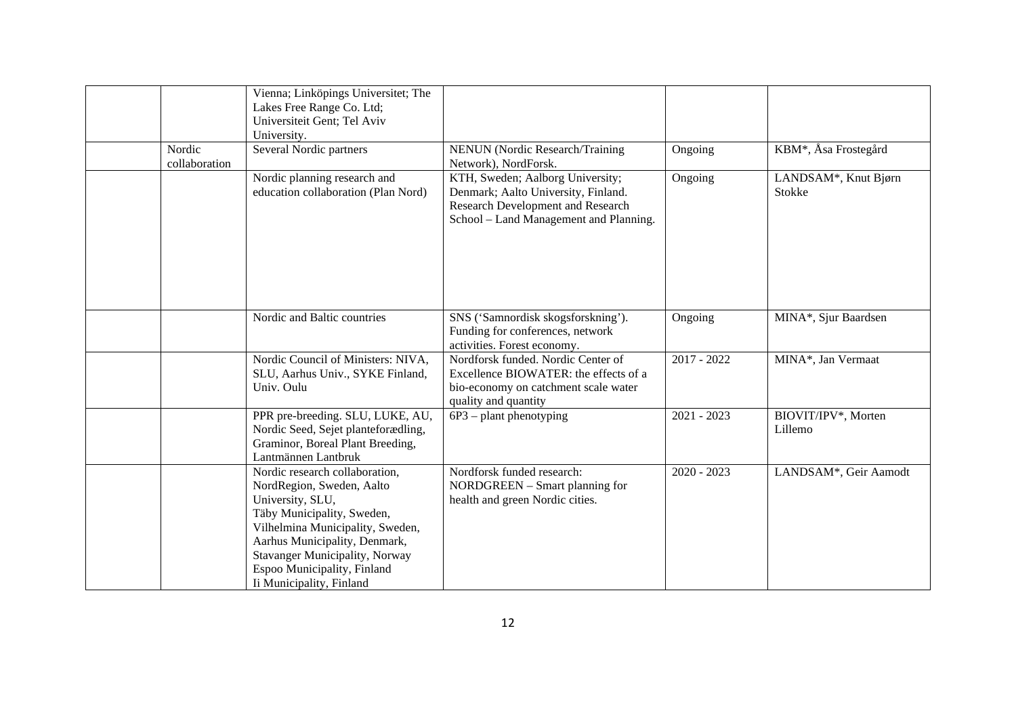|                         | Vienna; Linköpings Universitet; The<br>Lakes Free Range Co. Ltd;<br>Universiteit Gent; Tel Aviv<br>University.                                                                                                                                                                         |                                                                                                                                                        |               |                                   |
|-------------------------|----------------------------------------------------------------------------------------------------------------------------------------------------------------------------------------------------------------------------------------------------------------------------------------|--------------------------------------------------------------------------------------------------------------------------------------------------------|---------------|-----------------------------------|
| Nordic<br>collaboration | Several Nordic partners                                                                                                                                                                                                                                                                | <b>NENUN</b> (Nordic Research/Training<br>Network), NordForsk.                                                                                         | Ongoing       | KBM <sup>*</sup> , Åsa Frostegård |
|                         | Nordic planning research and<br>education collaboration (Plan Nord)                                                                                                                                                                                                                    | KTH, Sweden; Aalborg University;<br>Denmark; Aalto University, Finland.<br>Research Development and Research<br>School - Land Management and Planning. | Ongoing       | LANDSAM*, Knut Bjørn<br>Stokke    |
|                         | Nordic and Baltic countries                                                                                                                                                                                                                                                            | SNS ('Samnordisk skogsforskning').<br>Funding for conferences, network<br>activities. Forest economy.                                                  | Ongoing       | MINA*, Sjur Baardsen              |
|                         | Nordic Council of Ministers: NIVA,<br>SLU, Aarhus Univ., SYKE Finland,<br>Univ. Oulu                                                                                                                                                                                                   | Nordforsk funded. Nordic Center of<br>Excellence BIOWATER: the effects of a<br>bio-economy on catchment scale water<br>quality and quantity            | $2017 - 2022$ | MINA*, Jan Vermaat                |
|                         | PPR pre-breeding. SLU, LUKE, AU,<br>Nordic Seed, Sejet planteforædling,<br>Graminor, Boreal Plant Breeding,<br>Lantmännen Lantbruk                                                                                                                                                     | $6P3$ – plant phenotyping                                                                                                                              | $2021 - 2023$ | BIOVIT/IPV*, Morten<br>Lillemo    |
|                         | Nordic research collaboration,<br>NordRegion, Sweden, Aalto<br>University, SLU,<br>Täby Municipality, Sweden,<br>Vilhelmina Municipality, Sweden,<br>Aarhus Municipality, Denmark,<br><b>Stavanger Municipality, Norway</b><br>Espoo Municipality, Finland<br>Ii Municipality, Finland | Nordforsk funded research:<br>NORDGREEN - Smart planning for<br>health and green Nordic cities.                                                        | $2020 - 2023$ | LANDSAM*, Geir Aamodt             |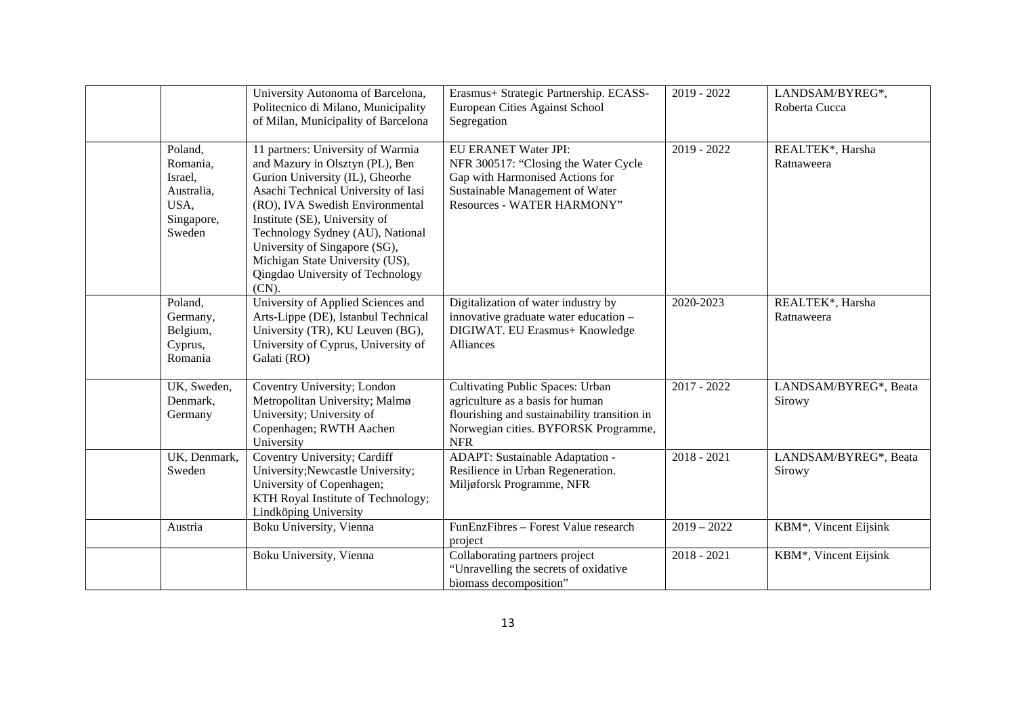|                                                                              | University Autonoma of Barcelona,<br>Politecnico di Milano, Municipality<br>of Milan, Municipality of Barcelona                                                                                                                                                                                                                                                            | Erasmus+ Strategic Partnership. ECASS-<br>European Cities Against School<br>Segregation                                                                                           | $2019 - 2022$ | LANDSAM/BYREG*,<br>Roberta Cucca |
|------------------------------------------------------------------------------|----------------------------------------------------------------------------------------------------------------------------------------------------------------------------------------------------------------------------------------------------------------------------------------------------------------------------------------------------------------------------|-----------------------------------------------------------------------------------------------------------------------------------------------------------------------------------|---------------|----------------------------------|
| Poland,<br>Romania,<br>Israel,<br>Australia,<br>USA,<br>Singapore,<br>Sweden | 11 partners: University of Warmia<br>and Mazury in Olsztyn (PL), Ben<br>Gurion University (IL), Gheorhe<br>Asachi Technical University of Iasi<br>(RO), IVA Swedish Environmental<br>Institute (SE), University of<br>Technology Sydney (AU), National<br>University of Singapore (SG),<br>Michigan State University (US),<br>Qingdao University of Technology<br>$(CN)$ . | <b>EU ERANET Water JPI:</b><br>NFR 300517: "Closing the Water Cycle<br>Gap with Harmonised Actions for<br>Sustainable Management of Water<br>Resources - WATER HARMONY"           | $2019 - 2022$ | REALTEK*, Harsha<br>Ratnaweera   |
| Poland,<br>Germany,<br>Belgium,<br>Cyprus,<br>Romania                        | University of Applied Sciences and<br>Arts-Lippe (DE), Istanbul Technical<br>University (TR), KU Leuven (BG),<br>University of Cyprus, University of<br>Galati (RO)                                                                                                                                                                                                        | Digitalization of water industry by<br>innovative graduate water education -<br>DIGIWAT. EU Erasmus+ Knowledge<br>Alliances                                                       | 2020-2023     | REALTEK*, Harsha<br>Ratnaweera   |
| UK, Sweden,<br>Denmark,<br>Germany                                           | Coventry University; London<br>Metropolitan University; Malmø<br>University; University of<br>Copenhagen; RWTH Aachen<br>University                                                                                                                                                                                                                                        | <b>Cultivating Public Spaces: Urban</b><br>agriculture as a basis for human<br>flourishing and sustainability transition in<br>Norwegian cities. BYFORSK Programme,<br><b>NFR</b> | $2017 - 2022$ | LANDSAM/BYREG*, Beata<br>Sirowy  |
| UK, Denmark,<br>Sweden                                                       | Coventry University; Cardiff<br>University; Newcastle University;<br>University of Copenhagen;<br>KTH Royal Institute of Technology;<br>Lindköping University                                                                                                                                                                                                              | ADAPT: Sustainable Adaptation -<br>Resilience in Urban Regeneration.<br>Miljøforsk Programme, NFR                                                                                 | $2018 - 2021$ | LANDSAM/BYREG*, Beata<br>Sirowy  |
| Austria                                                                      | Boku University, Vienna                                                                                                                                                                                                                                                                                                                                                    | FunEnzFibres - Forest Value research<br>project                                                                                                                                   | $2019 - 2022$ | KBM*, Vincent Eijsink            |
|                                                                              | Boku University, Vienna                                                                                                                                                                                                                                                                                                                                                    | Collaborating partners project<br>"Unravelling the secrets of oxidative<br>biomass decomposition"                                                                                 | $2018 - 2021$ | KBM*, Vincent Eijsink            |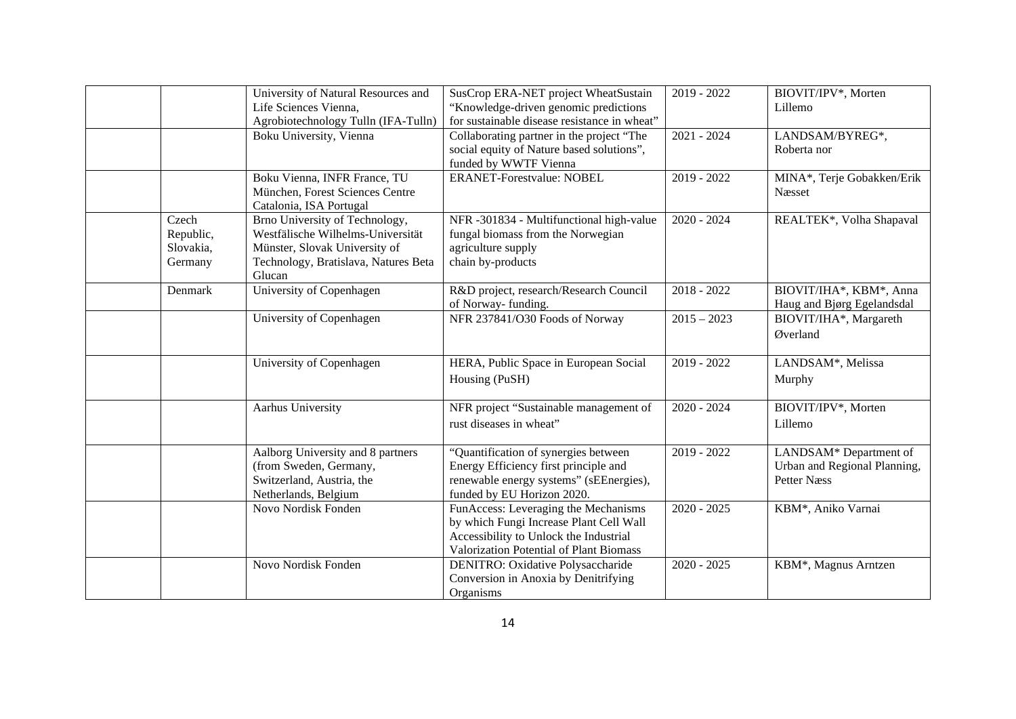|           | University of Natural Resources and  | SusCrop ERA-NET project WheatSustain         | $2019 - 2022$ | BIOVIT/IPV*, Morten          |
|-----------|--------------------------------------|----------------------------------------------|---------------|------------------------------|
|           | Life Sciences Vienna,                | "Knowledge-driven genomic predictions"       |               | Lillemo                      |
|           | Agrobiotechnology Tulln (IFA-Tulln)  | for sustainable disease resistance in wheat" |               |                              |
|           | Boku University, Vienna              | Collaborating partner in the project "The    | $2021 - 2024$ | LANDSAM/BYREG*,              |
|           |                                      | social equity of Nature based solutions",    |               | Roberta nor                  |
|           |                                      | funded by WWTF Vienna                        |               |                              |
|           | Boku Vienna, INFR France, TU         | <b>ERANET-Forestvalue: NOBEL</b>             | 2019 - 2022   | MINA*, Terje Gobakken/Erik   |
|           | München, Forest Sciences Centre      |                                              |               | Næsset                       |
|           | Catalonia, ISA Portugal              |                                              |               |                              |
| Czech     | Brno University of Technology,       | NFR -301834 - Multifunctional high-value     | $2020 - 2024$ | REALTEK*, Volha Shapaval     |
| Republic, | Westfälische Wilhelms-Universität    | fungal biomass from the Norwegian            |               |                              |
| Slovakia, | Münster, Slovak University of        | agriculture supply                           |               |                              |
| Germany   | Technology, Bratislava, Natures Beta | chain by-products                            |               |                              |
|           | Glucan                               |                                              |               |                              |
| Denmark   | University of Copenhagen             | R&D project, research/Research Council       | $2018 - 2022$ | BIOVIT/IHA*, KBM*, Anna      |
|           |                                      | of Norway-funding.                           |               | Haug and Bjørg Egelandsdal   |
|           | University of Copenhagen             | NFR 237841/O30 Foods of Norway               | $2015 - 2023$ | BIOVIT/IHA*, Margareth       |
|           |                                      |                                              |               | Øverland                     |
|           |                                      |                                              |               |                              |
|           | University of Copenhagen             | HERA, Public Space in European Social        | $2019 - 2022$ | LANDSAM*, Melissa            |
|           |                                      | Housing (PuSH)                               |               | Murphy                       |
|           |                                      |                                              |               |                              |
|           | Aarhus University                    | NFR project "Sustainable management of       | $2020 - 2024$ | BIOVIT/IPV*, Morten          |
|           |                                      | rust diseases in wheat"                      |               | Lillemo                      |
|           |                                      |                                              |               |                              |
|           | Aalborg University and 8 partners    | "Quantification of synergies between         | 2019 - 2022   | LANDSAM* Department of       |
|           | (from Sweden, Germany,               | Energy Efficiency first principle and        |               | Urban and Regional Planning, |
|           | Switzerland, Austria, the            | renewable energy systems" (sEEnergies),      |               | <b>Petter Næss</b>           |
|           | Netherlands, Belgium                 | funded by EU Horizon 2020.                   |               |                              |
|           | Novo Nordisk Fonden                  | FunAccess: Leveraging the Mechanisms         | $2020 - 2025$ | KBM*, Aniko Varnai           |
|           |                                      | by which Fungi Increase Plant Cell Wall      |               |                              |
|           |                                      | Accessibility to Unlock the Industrial       |               |                              |
|           |                                      | Valorization Potential of Plant Biomass      |               |                              |
|           | Novo Nordisk Fonden                  | <b>DENITRO:</b> Oxidative Polysaccharide     | $2020 - 2025$ | KBM*, Magnus Arntzen         |
|           |                                      | Conversion in Anoxia by Denitrifying         |               |                              |
|           |                                      | Organisms                                    |               |                              |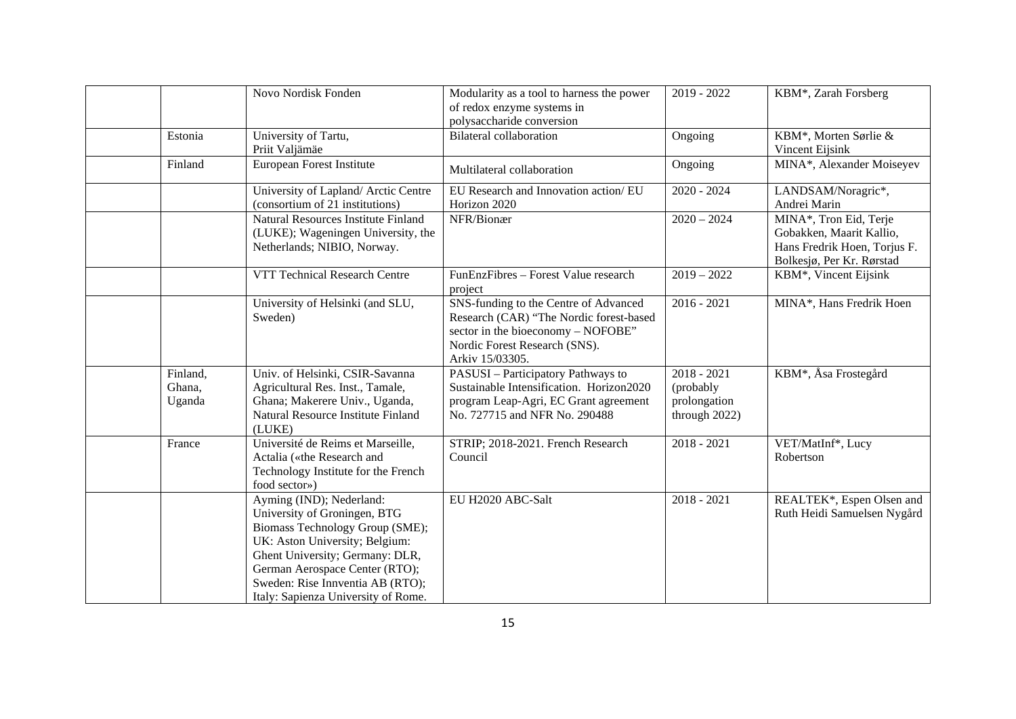|          | Novo Nordisk Fonden                         | Modularity as a tool to harness the power<br>of redox enzyme systems in                                                                                                    | 2019 - 2022   | KBM*, Zarah Forsberg              |
|----------|---------------------------------------------|----------------------------------------------------------------------------------------------------------------------------------------------------------------------------|---------------|-----------------------------------|
|          |                                             | polysaccharide conversion                                                                                                                                                  |               |                                   |
| Estonia  | University of Tartu,                        | <b>Bilateral collaboration</b>                                                                                                                                             | Ongoing       | KBM*, Morten Sørlie &             |
|          | Priit Valjämäe                              |                                                                                                                                                                            |               | Vincent Eijsink                   |
| Finland  | European Forest Institute                   | Multilateral collaboration                                                                                                                                                 | Ongoing       | MINA*, Alexander Moiseyev         |
|          | University of Lapland/ Arctic Centre        | EU Research and Innovation action/ EU                                                                                                                                      | $2020 - 2024$ | LANDSAM/Noragric*,                |
|          | (consortium of 21 institutions)             | Horizon 2020                                                                                                                                                               |               | Andrei Marin                      |
|          | Natural Resources Institute Finland         | NFR/Bionær                                                                                                                                                                 | $2020 - 2024$ | MINA*, Tron Eid, Terje            |
|          | (LUKE); Wageningen University, the          |                                                                                                                                                                            |               | Gobakken, Maarit Kallio,          |
|          | Netherlands; NIBIO, Norway.                 |                                                                                                                                                                            |               | Hans Fredrik Hoen, Torjus F.      |
|          |                                             |                                                                                                                                                                            |               | Bolkesjø, Per Kr. Rørstad         |
|          | VTT Technical Research Centre               | FunEnzFibres - Forest Value research<br>project                                                                                                                            | $2019 - 2022$ | KBM*, Vincent Eijsink             |
|          | University of Helsinki (and SLU,<br>Sweden) | SNS-funding to the Centre of Advanced<br>Research (CAR) "The Nordic forest-based<br>sector in the bioeconomy - NOFOBE"<br>Nordic Forest Research (SNS).<br>Arkiv 15/03305. | $2016 - 2021$ | MINA*, Hans Fredrik Hoen          |
| Finland, | Univ. of Helsinki, CSIR-Savanna             | PASUSI - Participatory Pathways to                                                                                                                                         | $2018 - 2021$ | KBM <sup>*</sup> , Åsa Frostegård |
| Ghana,   | Agricultural Res. Inst., Tamale,            | Sustainable Intensification. Horizon2020                                                                                                                                   | (probably     |                                   |
| Uganda   | Ghana; Makerere Univ., Uganda,              | program Leap-Agri, EC Grant agreement                                                                                                                                      | prolongation  |                                   |
|          | Natural Resource Institute Finland          | No. 727715 and NFR No. 290488                                                                                                                                              | through 2022) |                                   |
|          | (LUKE)                                      |                                                                                                                                                                            |               |                                   |
| France   | Université de Reims et Marseille,           | STRIP; 2018-2021. French Research                                                                                                                                          | $2018 - 2021$ | VET/MatInf*, Lucy                 |
|          | Actalia («the Research and                  | Council                                                                                                                                                                    |               | Robertson                         |
|          | Technology Institute for the French         |                                                                                                                                                                            |               |                                   |
|          | food sector»)                               |                                                                                                                                                                            |               |                                   |
|          | Ayming (IND); Nederland:                    | EU H2020 ABC-Salt                                                                                                                                                          | $2018 - 2021$ | REALTEK*, Espen Olsen and         |
|          | University of Groningen, BTG                |                                                                                                                                                                            |               | Ruth Heidi Samuelsen Nygård       |
|          | Biomass Technology Group (SME);             |                                                                                                                                                                            |               |                                   |
|          | UK: Aston University; Belgium:              |                                                                                                                                                                            |               |                                   |
|          | Ghent University; Germany: DLR,             |                                                                                                                                                                            |               |                                   |
|          | German Aerospace Center (RTO);              |                                                                                                                                                                            |               |                                   |
|          | Sweden: Rise Innventia AB (RTO);            |                                                                                                                                                                            |               |                                   |
|          | Italy: Sapienza University of Rome.         |                                                                                                                                                                            |               |                                   |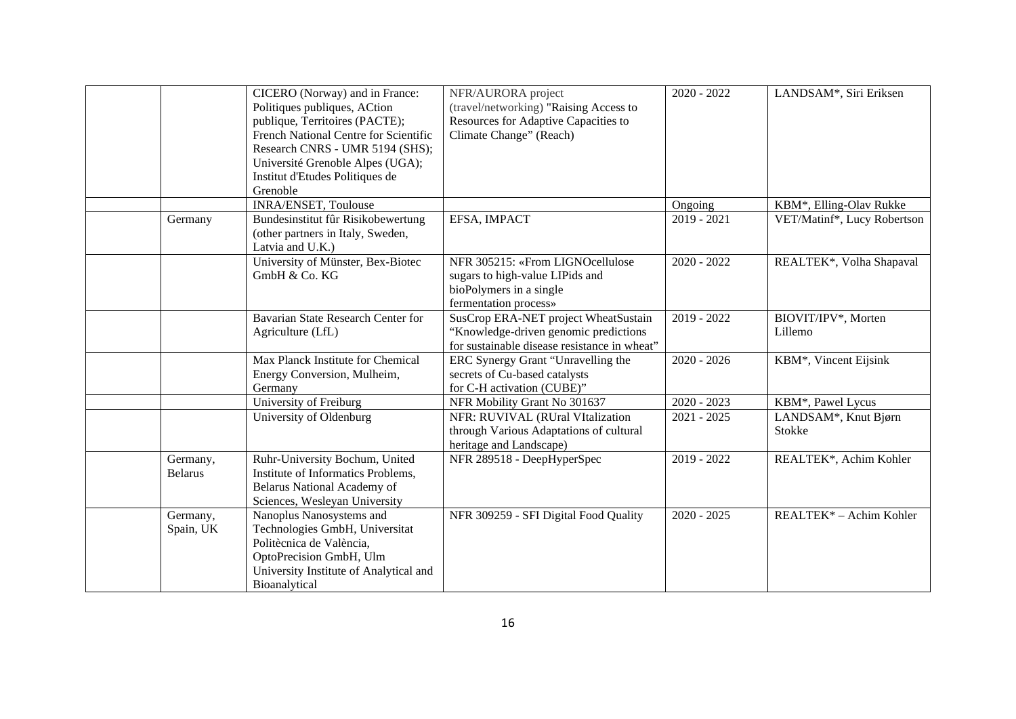|                            | CICERO (Norway) and in France:<br>Politiques publiques, ACtion<br>publique, Territoires (PACTE);<br>French National Centre for Scientific<br>Research CNRS - UMR 5194 (SHS);<br>Université Grenoble Alpes (UGA);<br>Institut d'Etudes Politiques de | NFR/AURORA project<br>(travel/networking) "Raising Access to<br>Resources for Adaptive Capacities to<br>Climate Change" (Reach) | $2020 - 2022$ | LANDSAM*, Siri Eriksen         |
|----------------------------|-----------------------------------------------------------------------------------------------------------------------------------------------------------------------------------------------------------------------------------------------------|---------------------------------------------------------------------------------------------------------------------------------|---------------|--------------------------------|
|                            | Grenoble                                                                                                                                                                                                                                            |                                                                                                                                 |               |                                |
|                            | INRA/ENSET, Toulouse                                                                                                                                                                                                                                |                                                                                                                                 | Ongoing       | KBM*, Elling-Olav Rukke        |
| Germany                    | Bundesinstitut fûr Risikobewertung<br>(other partners in Italy, Sweden,<br>Latvia and U.K.)                                                                                                                                                         | EFSA, IMPACT                                                                                                                    | $2019 - 2021$ | VET/Matinf*, Lucy Robertson    |
|                            | University of Münster, Bex-Biotec<br>$GmbH$ & Co. $KG$                                                                                                                                                                                              | NFR 305215: «From LIGNOcellulose<br>sugars to high-value LIPids and<br>bioPolymers in a single<br>fermentation process»         | $2020 - 2022$ | REALTEK*, Volha Shapaval       |
|                            | Bavarian State Research Center for<br>Agriculture (LfL)                                                                                                                                                                                             | SusCrop ERA-NET project WheatSustain<br>"Knowledge-driven genomic predictions"<br>for sustainable disease resistance in wheat"  | $2019 - 2022$ | BIOVIT/IPV*, Morten<br>Lillemo |
|                            | Max Planck Institute for Chemical<br>Energy Conversion, Mulheim,<br>Germany                                                                                                                                                                         | ERC Synergy Grant "Unravelling the<br>secrets of Cu-based catalysts<br>for C-H activation (CUBE)"                               | $2020 - 2026$ | KBM*, Vincent Eijsink          |
|                            | University of Freiburg                                                                                                                                                                                                                              | NFR Mobility Grant No 301637                                                                                                    | $2020 - 2023$ | KBM*, Pawel Lycus              |
|                            | University of Oldenburg                                                                                                                                                                                                                             | NFR: RUVIVAL (RUral VItalization<br>through Various Adaptations of cultural<br>heritage and Landscape)                          | $2021 - 2025$ | LANDSAM*, Knut Bjørn<br>Stokke |
| Germany,<br><b>Belarus</b> | Ruhr-University Bochum, United<br>Institute of Informatics Problems,<br>Belarus National Academy of<br>Sciences, Wesleyan University                                                                                                                | NFR 289518 - DeepHyperSpec                                                                                                      | 2019 - 2022   | REALTEK*, Achim Kohler         |
| Germany,<br>Spain, UK      | Nanoplus Nanosystems and<br>Technologies GmbH, Universitat<br>Politècnica de València,<br>OptoPrecision GmbH, Ulm<br>University Institute of Analytical and<br>Bioanalytical                                                                        | NFR 309259 - SFI Digital Food Quality                                                                                           | $2020 - 2025$ | REALTEK* - Achim Kohler        |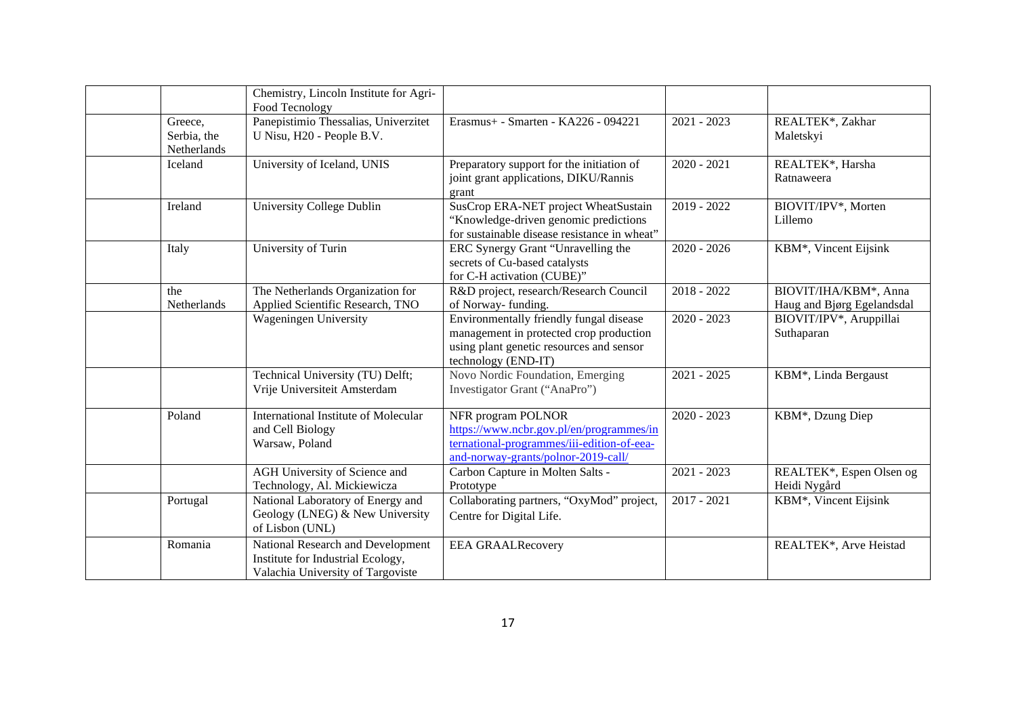|                                       | Chemistry, Lincoln Institute for Agri-<br>Food Tecnology                                                    |                                                                                                                                                       |               |                                                     |
|---------------------------------------|-------------------------------------------------------------------------------------------------------------|-------------------------------------------------------------------------------------------------------------------------------------------------------|---------------|-----------------------------------------------------|
| Greece,<br>Serbia, the<br>Netherlands | Panepistimio Thessalias, Univerzitet<br>U Nisu, H20 - People B.V.                                           | Erasmus+ - Smarten - KA226 - 094221                                                                                                                   | $2021 - 2023$ | REALTEK*, Zakhar<br>Maletskyi                       |
| Iceland                               | University of Iceland, UNIS                                                                                 | Preparatory support for the initiation of<br>joint grant applications, DIKU/Rannis<br>grant                                                           | $2020 - 2021$ | REALTEK*, Harsha<br>Ratnaweera                      |
| Ireland                               | University College Dublin                                                                                   | SusCrop ERA-NET project WheatSustain<br>"Knowledge-driven genomic predictions<br>for sustainable disease resistance in wheat"                         | 2019 - 2022   | BIOVIT/IPV*, Morten<br>Lillemo                      |
| Italy                                 | University of Turin                                                                                         | ERC Synergy Grant "Unravelling the<br>secrets of Cu-based catalysts<br>for C-H activation (CUBE)"                                                     | $2020 - 2026$ | KBM*, Vincent Eijsink                               |
| the<br>Netherlands                    | The Netherlands Organization for<br>Applied Scientific Research, TNO                                        | R&D project, research/Research Council<br>of Norway-funding.                                                                                          | $2018 - 2022$ | BIOVIT/IHA/KBM*, Anna<br>Haug and Bjørg Egelandsdal |
|                                       | <b>Wageningen University</b>                                                                                | Environmentally friendly fungal disease<br>management in protected crop production<br>using plant genetic resources and sensor<br>technology (END-IT) | $2020 - 2023$ | BIOVIT/IPV*, Aruppillai<br>Suthaparan               |
|                                       | Technical University (TU) Delft;<br>Vrije Universiteit Amsterdam                                            | Novo Nordic Foundation, Emerging<br>Investigator Grant ("AnaPro")                                                                                     | $2021 - 2025$ | KBM*, Linda Bergaust                                |
| Poland                                | International Institute of Molecular<br>and Cell Biology<br>Warsaw, Poland                                  | NFR program POLNOR<br>https://www.ncbr.gov.pl/en/programmes/in<br>ternational-programmes/iii-edition-of-eea-<br>and-norway-grants/polnor-2019-call/   | $2020 - 2023$ | KBM*, Dzung Diep                                    |
|                                       | AGH University of Science and<br>Technology, Al. Mickiewicza                                                | Carbon Capture in Molten Salts -<br>Prototype                                                                                                         | $2021 - 2023$ | REALTEK*, Espen Olsen og<br>Heidi Nygård            |
| Portugal                              | National Laboratory of Energy and<br>Geology (LNEG) & New University<br>of Lisbon (UNL)                     | Collaborating partners, "OxyMod" project,<br>Centre for Digital Life.                                                                                 | $2017 - 2021$ | KBM*, Vincent Eijsink                               |
| Romania                               | National Research and Development<br>Institute for Industrial Ecology,<br>Valachia University of Targoviste | <b>EEA GRAALRecovery</b>                                                                                                                              |               | REALTEK*, Arve Heistad                              |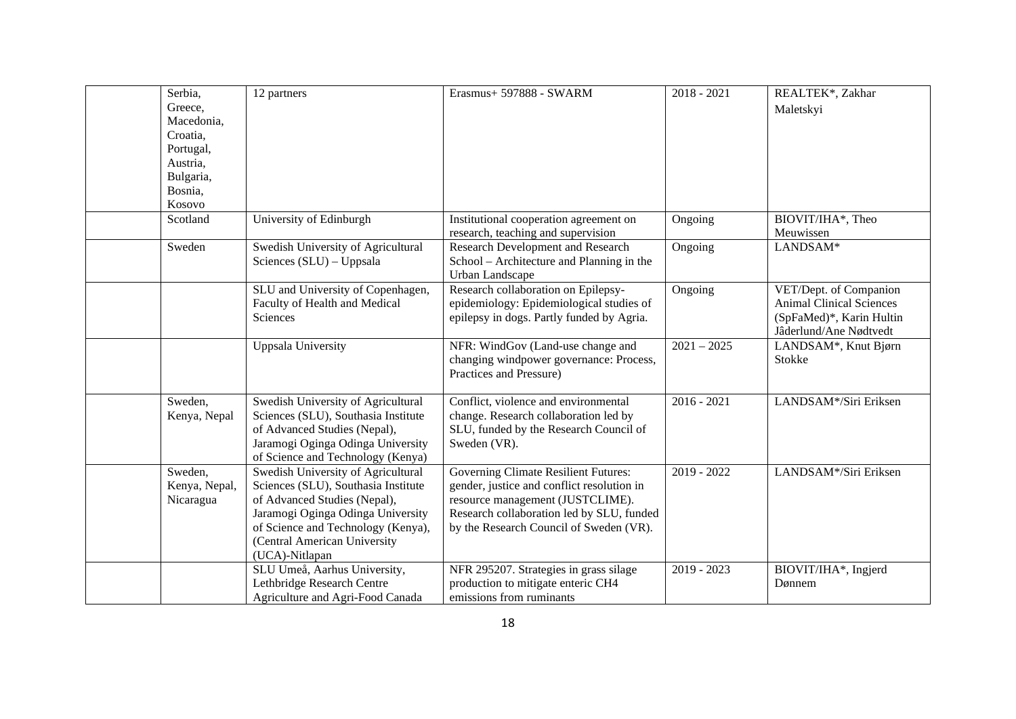| Serbia,       | 12 partners                         | Erasmus+ 597888 - SWARM                     | $2018 - 2021$ | REALTEK*, Zakhar                |
|---------------|-------------------------------------|---------------------------------------------|---------------|---------------------------------|
| Greece,       |                                     |                                             |               | Maletskyi                       |
| Macedonia,    |                                     |                                             |               |                                 |
| Croatia,      |                                     |                                             |               |                                 |
| Portugal,     |                                     |                                             |               |                                 |
| Austria,      |                                     |                                             |               |                                 |
| Bulgaria,     |                                     |                                             |               |                                 |
| Bosnia,       |                                     |                                             |               |                                 |
| Kosovo        |                                     |                                             |               |                                 |
| Scotland      | University of Edinburgh             | Institutional cooperation agreement on      | Ongoing       | BIOVIT/IHA*, Theo               |
|               |                                     | research, teaching and supervision          |               | Meuwissen                       |
| Sweden        | Swedish University of Agricultural  | Research Development and Research           | Ongoing       | LANDSAM*                        |
|               | Sciences (SLU) – Uppsala            | School – Architecture and Planning in the   |               |                                 |
|               |                                     | <b>Urban Landscape</b>                      |               |                                 |
|               | SLU and University of Copenhagen,   | Research collaboration on Epilepsy-         | Ongoing       | VET/Dept. of Companion          |
|               | Faculty of Health and Medical       | epidemiology: Epidemiological studies of    |               | <b>Animal Clinical Sciences</b> |
|               | Sciences                            | epilepsy in dogs. Partly funded by Agria.   |               | (SpFaMed)*, Karin Hultin        |
|               |                                     |                                             |               | Jâderlund/Ane Nødtvedt          |
|               | <b>Uppsala University</b>           | NFR: WindGov (Land-use change and           | $2021 - 2025$ | LANDSAM*, Knut Bjørn            |
|               |                                     | changing windpower governance: Process,     |               | Stokke                          |
|               |                                     | Practices and Pressure)                     |               |                                 |
|               |                                     |                                             |               |                                 |
| Sweden,       | Swedish University of Agricultural  | Conflict, violence and environmental        | $2016 - 2021$ | LANDSAM*/Siri Eriksen           |
| Kenya, Nepal  | Sciences (SLU), Southasia Institute | change. Research collaboration led by       |               |                                 |
|               | of Advanced Studies (Nepal),        | SLU, funded by the Research Council of      |               |                                 |
|               | Jaramogi Oginga Odinga University   | Sweden (VR).                                |               |                                 |
|               | of Science and Technology (Kenya)   |                                             |               |                                 |
| Sweden,       | Swedish University of Agricultural  | <b>Governing Climate Resilient Futures:</b> | $2019 - 2022$ | LANDSAM*/Siri Eriksen           |
| Kenya, Nepal, | Sciences (SLU), Southasia Institute | gender, justice and conflict resolution in  |               |                                 |
| Nicaragua     | of Advanced Studies (Nepal),        | resource management (JUSTCLIME).            |               |                                 |
|               | Jaramogi Oginga Odinga University   | Research collaboration led by SLU, funded   |               |                                 |
|               | of Science and Technology (Kenya),  | by the Research Council of Sweden (VR).     |               |                                 |
|               | (Central American University        |                                             |               |                                 |
|               | (UCA)-Nitlapan                      |                                             |               |                                 |
|               | SLU Umeå, Aarhus University,        | NFR 295207. Strategies in grass silage      | $2019 - 2023$ | BIOVIT/IHA*, Ingjerd            |
|               | Lethbridge Research Centre          | production to mitigate enteric CH4          |               | Dønnem                          |
|               | Agriculture and Agri-Food Canada    | emissions from ruminants                    |               |                                 |
|               |                                     |                                             |               |                                 |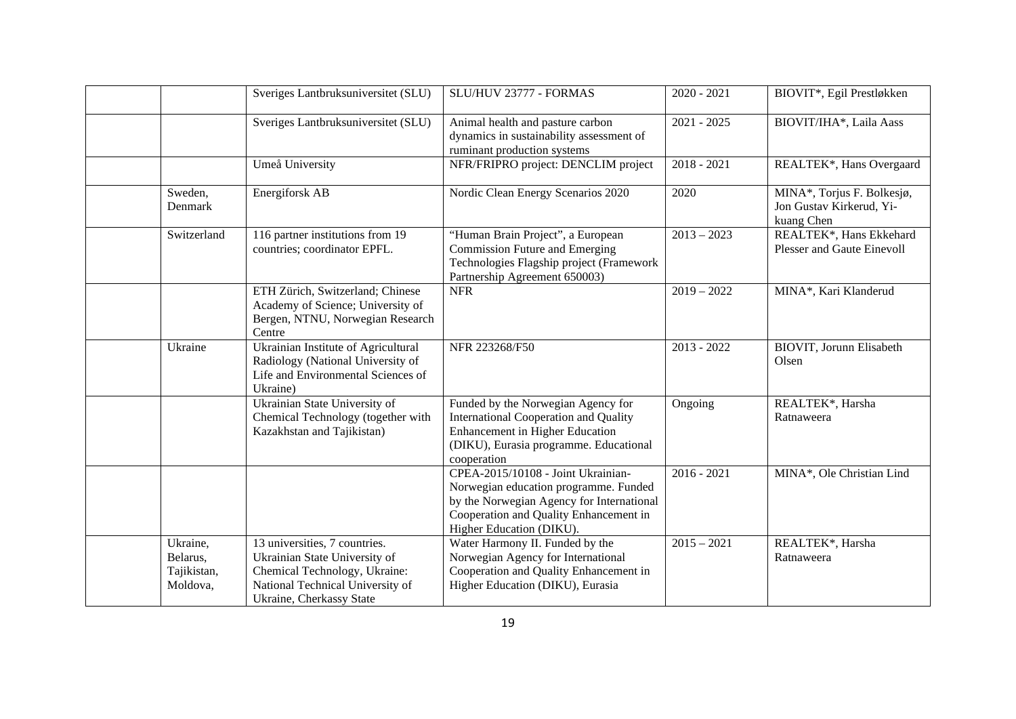|                                                 | Sveriges Lantbruksuniversitet (SLU)                                                                                                                             | SLU/HUV 23777 - FORMAS                                                                                                                                                                         | $2020 - 2021$ | BIOVIT*, Egil Prestløkken                                            |
|-------------------------------------------------|-----------------------------------------------------------------------------------------------------------------------------------------------------------------|------------------------------------------------------------------------------------------------------------------------------------------------------------------------------------------------|---------------|----------------------------------------------------------------------|
|                                                 | Sveriges Lantbruksuniversitet (SLU)                                                                                                                             | Animal health and pasture carbon<br>dynamics in sustainability assessment of<br>ruminant production systems                                                                                    | $2021 - 2025$ | BIOVIT/IHA*, Laila Aass                                              |
|                                                 | Umeå University                                                                                                                                                 | NFR/FRIPRO project: DENCLIM project                                                                                                                                                            | $2018 - 2021$ | REALTEK*, Hans Overgaard                                             |
| Sweden,<br>Denmark                              | Energiforsk AB                                                                                                                                                  | Nordic Clean Energy Scenarios 2020                                                                                                                                                             | 2020          | MINA*, Torjus F. Bolkesjø,<br>Jon Gustav Kirkerud, Yi-<br>kuang Chen |
| Switzerland                                     | 116 partner institutions from 19<br>countries; coordinator EPFL.                                                                                                | "Human Brain Project", a European<br><b>Commission Future and Emerging</b><br>Technologies Flagship project (Framework<br>Partnership Agreement 650003)                                        | $2013 - 2023$ | REALTEK*, Hans Ekkehard<br><b>Plesser and Gaute Einevoll</b>         |
|                                                 | ETH Zürich, Switzerland; Chinese<br>Academy of Science; University of<br>Bergen, NTNU, Norwegian Research<br>Centre                                             | <b>NFR</b>                                                                                                                                                                                     | $2019 - 2022$ | MINA*, Kari Klanderud                                                |
| Ukraine                                         | Ukrainian Institute of Agricultural<br>Radiology (National University of<br>Life and Environmental Sciences of<br>Ukraine)                                      | NFR 223268/F50                                                                                                                                                                                 | $2013 - 2022$ | <b>BIOVIT</b> , Jorunn Elisabeth<br>Olsen                            |
|                                                 | Ukrainian State University of<br>Chemical Technology (together with<br>Kazakhstan and Tajikistan)                                                               | Funded by the Norwegian Agency for<br><b>International Cooperation and Quality</b><br><b>Enhancement in Higher Education</b><br>(DIKU), Eurasia programme. Educational<br>cooperation          | Ongoing       | REALTEK*, Harsha<br>Ratnaweera                                       |
|                                                 |                                                                                                                                                                 | CPEA-2015/10108 - Joint Ukrainian-<br>Norwegian education programme. Funded<br>by the Norwegian Agency for International<br>Cooperation and Quality Enhancement in<br>Higher Education (DIKU). | $2016 - 2021$ | MINA*, Ole Christian Lind                                            |
| Ukraine,<br>Belarus,<br>Tajikistan,<br>Moldova, | 13 universities, 7 countries.<br>Ukrainian State University of<br>Chemical Technology, Ukraine:<br>National Technical University of<br>Ukraine, Cherkassy State | Water Harmony II. Funded by the<br>Norwegian Agency for International<br>Cooperation and Quality Enhancement in<br>Higher Education (DIKU), Eurasia                                            | $2015 - 2021$ | REALTEK*, Harsha<br>Ratnaweera                                       |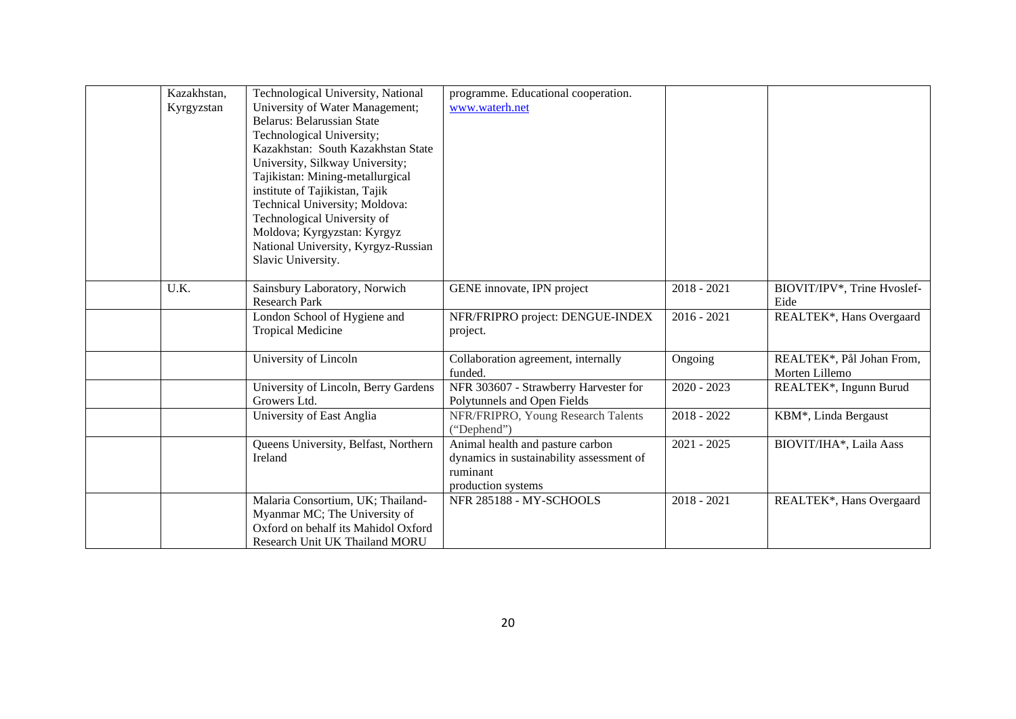| Kazakhstan, | Technological University, National   | programme. Educational cooperation.      |               |                             |
|-------------|--------------------------------------|------------------------------------------|---------------|-----------------------------|
| Kyrgyzstan  | University of Water Management;      | www.waterh.net                           |               |                             |
|             | Belarus: Belarussian State           |                                          |               |                             |
|             | Technological University;            |                                          |               |                             |
|             | Kazakhstan: South Kazakhstan State   |                                          |               |                             |
|             | University, Silkway University;      |                                          |               |                             |
|             | Tajikistan: Mining-metallurgical     |                                          |               |                             |
|             | institute of Tajikistan, Tajik       |                                          |               |                             |
|             | Technical University; Moldova:       |                                          |               |                             |
|             | Technological University of          |                                          |               |                             |
|             | Moldova; Kyrgyzstan: Kyrgyz          |                                          |               |                             |
|             | National University, Kyrgyz-Russian  |                                          |               |                             |
|             | Slavic University.                   |                                          |               |                             |
|             |                                      |                                          |               |                             |
| U.K.        | Sainsbury Laboratory, Norwich        | GENE innovate, IPN project               | $2018 - 2021$ | BIOVIT/IPV*, Trine Hvoslef- |
|             | <b>Research Park</b>                 |                                          |               | Eide                        |
|             | London School of Hygiene and         | NFR/FRIPRO project: DENGUE-INDEX         | $2016 - 2021$ | REALTEK*, Hans Overgaard    |
|             | <b>Tropical Medicine</b>             | project.                                 |               |                             |
|             |                                      |                                          |               |                             |
|             | University of Lincoln                | Collaboration agreement, internally      | Ongoing       | REALTEK*, Pål Johan From,   |
|             |                                      | funded.                                  |               | Morten Lillemo              |
|             | University of Lincoln, Berry Gardens | NFR 303607 - Strawberry Harvester for    | $2020 - 2023$ | REALTEK*, Ingunn Burud      |
|             | Growers Ltd.                         | Polytunnels and Open Fields              |               |                             |
|             | University of East Anglia            | NFR/FRIPRO, Young Research Talents       | $2018 - 2022$ | KBM*, Linda Bergaust        |
|             |                                      | ("Dephend")                              |               |                             |
|             | Queens University, Belfast, Northern | Animal health and pasture carbon         | $2021 - 2025$ | BIOVIT/IHA*, Laila Aass     |
|             | Ireland                              | dynamics in sustainability assessment of |               |                             |
|             |                                      | ruminant                                 |               |                             |
|             |                                      | production systems                       |               |                             |
|             | Malaria Consortium, UK; Thailand-    | NFR 285188 - MY-SCHOOLS                  | $2018 - 2021$ | REALTEK*, Hans Overgaard    |
|             | Myanmar MC; The University of        |                                          |               |                             |
|             | Oxford on behalf its Mahidol Oxford  |                                          |               |                             |
|             | Research Unit UK Thailand MORU       |                                          |               |                             |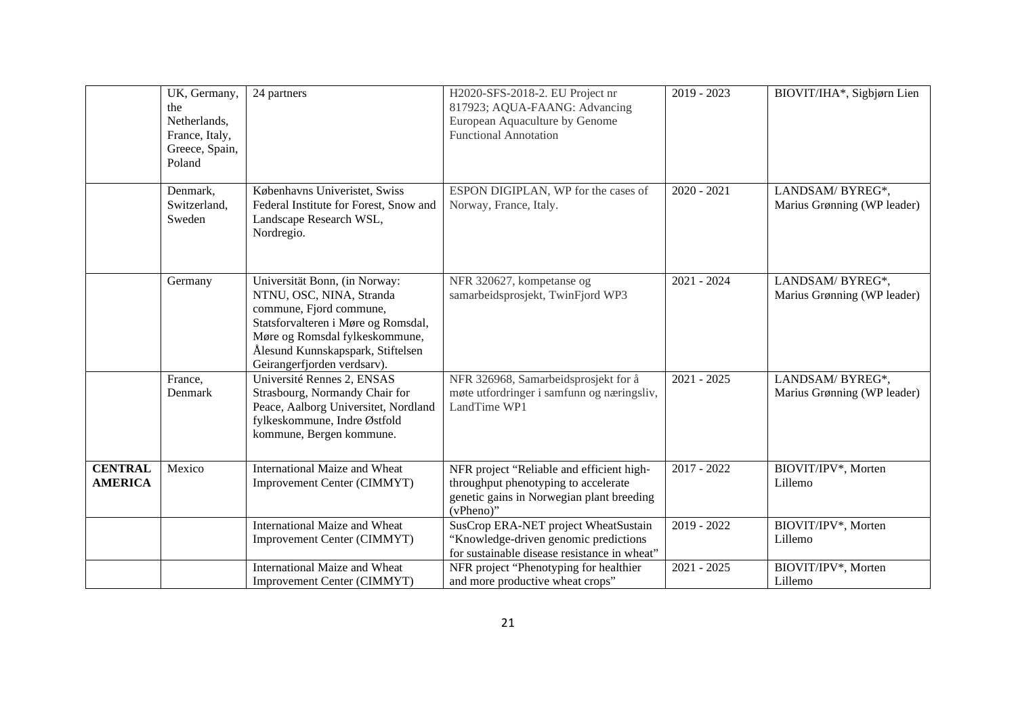|                                  | UK, Germany,<br>the<br>Netherlands,<br>France, Italy,<br>Greece, Spain,<br>Poland | 24 partners                                                                                                                                                                                                                       | H2020-SFS-2018-2. EU Project nr<br>817923; AQUA-FAANG: Advancing<br>European Aquaculture by Genome<br><b>Functional Annotation</b>          | $2019 - 2023$ | BIOVIT/IHA*, Sigbjørn Lien                     |
|----------------------------------|-----------------------------------------------------------------------------------|-----------------------------------------------------------------------------------------------------------------------------------------------------------------------------------------------------------------------------------|---------------------------------------------------------------------------------------------------------------------------------------------|---------------|------------------------------------------------|
|                                  | Denmark,<br>Switzerland,<br>Sweden                                                | Københavns Univeristet, Swiss<br>Federal Institute for Forest, Snow and<br>Landscape Research WSL,<br>Nordregio.                                                                                                                  | ESPON DIGIPLAN, WP for the cases of<br>Norway, France, Italy.                                                                               | $2020 - 2021$ | LANDSAM/BYREG*,<br>Marius Grønning (WP leader) |
|                                  | Germany                                                                           | Universität Bonn, (in Norway:<br>NTNU, OSC, NINA, Stranda<br>commune, Fjord commune,<br>Statsforvalteren i Møre og Romsdal,<br>Møre og Romsdal fylkeskommune,<br>Ålesund Kunnskapspark, Stiftelsen<br>Geirangerfjorden verdsarv). | NFR 320627, kompetanse og<br>samarbeidsprosjekt, TwinFjord WP3                                                                              | 2021 - 2024   | LANDSAM/BYREG*,<br>Marius Grønning (WP leader) |
|                                  | France,<br>Denmark                                                                | Université Rennes 2, ENSAS<br>Strasbourg, Normandy Chair for<br>Peace, Aalborg Universitet, Nordland<br>fylkeskommune, Indre Østfold<br>kommune, Bergen kommune.                                                                  | NFR 326968, Samarbeidsprosjekt for å<br>møte utfordringer i samfunn og næringsliv,<br>LandTime WP1                                          | $2021 - 2025$ | LANDSAM/BYREG*,<br>Marius Grønning (WP leader) |
| <b>CENTRAL</b><br><b>AMERICA</b> | Mexico                                                                            | International Maize and Wheat<br>Improvement Center (CIMMYT)                                                                                                                                                                      | NFR project "Reliable and efficient high-<br>throughput phenotyping to accelerate<br>genetic gains in Norwegian plant breeding<br>(vPheno)" | $2017 - 2022$ | BIOVIT/IPV*, Morten<br>Lillemo                 |
|                                  |                                                                                   | International Maize and Wheat<br>Improvement Center (CIMMYT)                                                                                                                                                                      | SusCrop ERA-NET project WheatSustain<br>"Knowledge-driven genomic predictions<br>for sustainable disease resistance in wheat"               | 2019 - 2022   | BIOVIT/IPV*, Morten<br>Lillemo                 |
|                                  |                                                                                   | International Maize and Wheat<br>Improvement Center (CIMMYT)                                                                                                                                                                      | NFR project "Phenotyping for healthier<br>and more productive wheat crops"                                                                  | $2021 - 2025$ | BIOVIT/IPV*, Morten<br>Lillemo                 |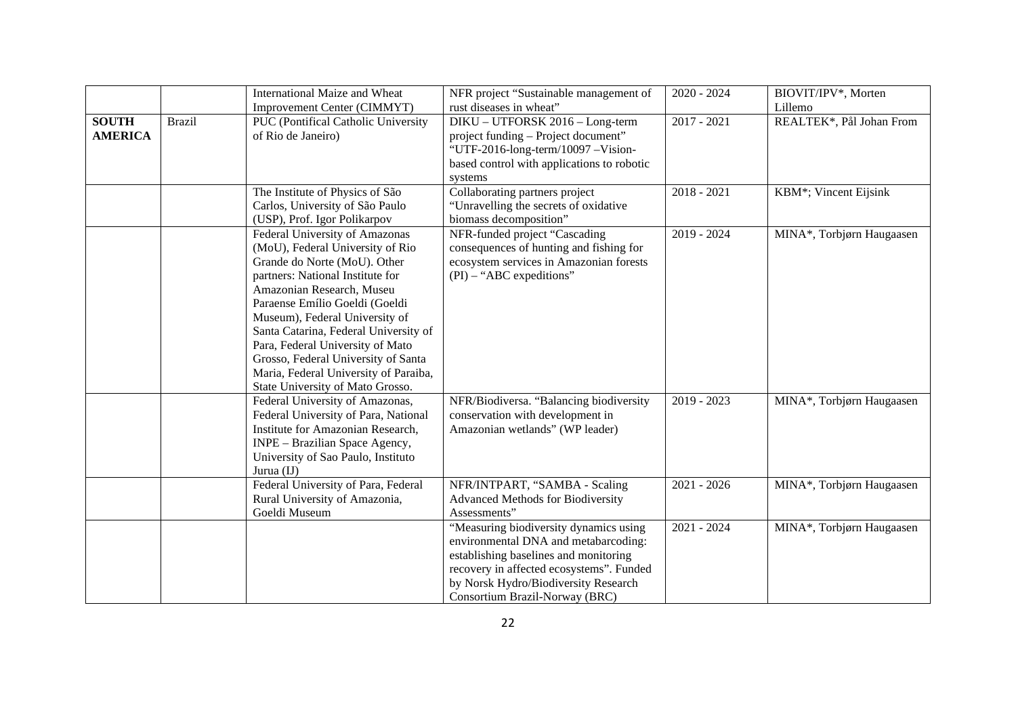|                                |               | International Maize and Wheat                                                                                                                                                                                                                                                                                                                                                                                                            | NFR project "Sustainable management of                                                                                                                                                                                                        | $2020 - 2024$ | BIOVIT/IPV*, Morten       |
|--------------------------------|---------------|------------------------------------------------------------------------------------------------------------------------------------------------------------------------------------------------------------------------------------------------------------------------------------------------------------------------------------------------------------------------------------------------------------------------------------------|-----------------------------------------------------------------------------------------------------------------------------------------------------------------------------------------------------------------------------------------------|---------------|---------------------------|
|                                |               | Improvement Center (CIMMYT)                                                                                                                                                                                                                                                                                                                                                                                                              | rust diseases in wheat"                                                                                                                                                                                                                       |               | Lillemo                   |
| <b>SOUTH</b><br><b>AMERICA</b> | <b>Brazil</b> | PUC (Pontifical Catholic University<br>of Rio de Janeiro)                                                                                                                                                                                                                                                                                                                                                                                | DIKU - UTFORSK 2016 - Long-term<br>project funding – Project document"<br>"UTF-2016-long-term/10097 - Vision-<br>based control with applications to robotic<br>systems                                                                        | $2017 - 2021$ | REALTEK*, Pål Johan From  |
|                                |               | The Institute of Physics of São<br>Carlos, University of São Paulo<br>(USP), Prof. Igor Polikarpov                                                                                                                                                                                                                                                                                                                                       | Collaborating partners project<br>"Unravelling the secrets of oxidative<br>biomass decomposition"                                                                                                                                             | $2018 - 2021$ | KBM*; Vincent Eijsink     |
|                                |               | Federal University of Amazonas<br>(MoU), Federal University of Rio<br>Grande do Norte (MoU). Other<br>partners: National Institute for<br>Amazonian Research, Museu<br>Paraense Emílio Goeldi (Goeldi<br>Museum), Federal University of<br>Santa Catarina, Federal University of<br>Para, Federal University of Mato<br>Grosso, Federal University of Santa<br>Maria, Federal University of Paraiba,<br>State University of Mato Grosso. | NFR-funded project "Cascading<br>consequences of hunting and fishing for<br>ecosystem services in Amazonian forests<br>$(PI)$ – "ABC expeditions"                                                                                             | 2019 - 2024   | MINA*, Torbjørn Haugaasen |
|                                |               | Federal University of Amazonas,<br>Federal University of Para, National<br>Institute for Amazonian Research,<br>INPE - Brazilian Space Agency,<br>University of Sao Paulo, Instituto<br>Jurua (IJ)                                                                                                                                                                                                                                       | NFR/Biodiversa. "Balancing biodiversity<br>conservation with development in<br>Amazonian wetlands" (WP leader)                                                                                                                                | $2019 - 2023$ | MINA*, Torbjørn Haugaasen |
|                                |               | Federal University of Para, Federal<br>Rural University of Amazonia,<br>Goeldi Museum                                                                                                                                                                                                                                                                                                                                                    | NFR/INTPART, "SAMBA - Scaling<br>Advanced Methods for Biodiversity<br>Assessments"                                                                                                                                                            | $2021 - 2026$ | MINA*, Torbjørn Haugaasen |
|                                |               |                                                                                                                                                                                                                                                                                                                                                                                                                                          | "Measuring biodiversity dynamics using<br>environmental DNA and metabarcoding:<br>establishing baselines and monitoring<br>recovery in affected ecosystems". Funded<br>by Norsk Hydro/Biodiversity Research<br>Consortium Brazil-Norway (BRC) | $2021 - 2024$ | MINA*, Torbjørn Haugaasen |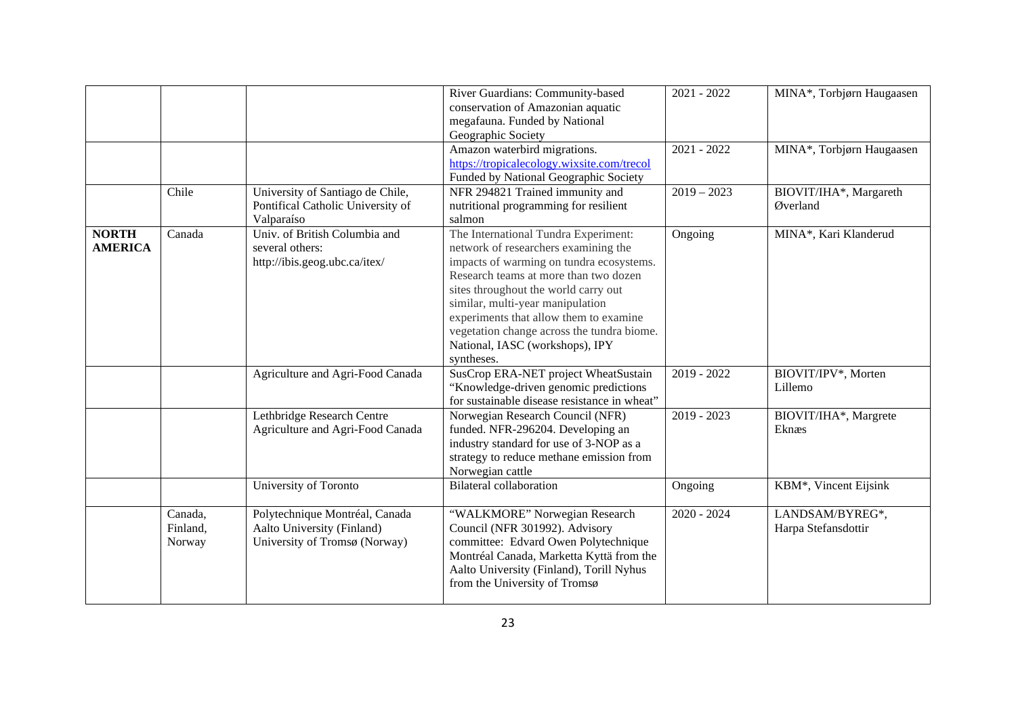|                                |                               |                                                                                               | River Guardians: Community-based<br>conservation of Amazonian aquatic                                                                                                                                                                                                                                                                                                                  | $2021 - 2022$ | MINA*, Torbjørn Haugaasen              |
|--------------------------------|-------------------------------|-----------------------------------------------------------------------------------------------|----------------------------------------------------------------------------------------------------------------------------------------------------------------------------------------------------------------------------------------------------------------------------------------------------------------------------------------------------------------------------------------|---------------|----------------------------------------|
|                                |                               |                                                                                               | megafauna. Funded by National<br>Geographic Society                                                                                                                                                                                                                                                                                                                                    |               |                                        |
|                                |                               |                                                                                               | Amazon waterbird migrations.<br>https://tropicalecology.wixsite.com/trecol<br>Funded by National Geographic Society                                                                                                                                                                                                                                                                    | $2021 - 2022$ | MINA*, Torbjørn Haugaasen              |
|                                | Chile                         | University of Santiago de Chile,<br>Pontifical Catholic University of<br>Valparaíso           | NFR 294821 Trained immunity and<br>nutritional programming for resilient<br>salmon                                                                                                                                                                                                                                                                                                     | $2019 - 2023$ | BIOVIT/IHA*, Margareth<br>Øverland     |
| <b>NORTH</b><br><b>AMERICA</b> | Canada                        | Univ. of British Columbia and<br>several others:<br>http://ibis.geog.ubc.ca/itex/             | The International Tundra Experiment:<br>network of researchers examining the<br>impacts of warming on tundra ecosystems.<br>Research teams at more than two dozen<br>sites throughout the world carry out<br>similar, multi-year manipulation<br>experiments that allow them to examine<br>vegetation change across the tundra biome.<br>National, IASC (workshops), IPY<br>syntheses. | Ongoing       | MINA*, Kari Klanderud                  |
|                                |                               | Agriculture and Agri-Food Canada                                                              | SusCrop ERA-NET project WheatSustain<br>"Knowledge-driven genomic predictions"<br>for sustainable disease resistance in wheat"                                                                                                                                                                                                                                                         | $2019 - 2022$ | BIOVIT/IPV*, Morten<br>Lillemo         |
|                                |                               | Lethbridge Research Centre<br>Agriculture and Agri-Food Canada                                | Norwegian Research Council (NFR)<br>funded. NFR-296204. Developing an<br>industry standard for use of 3-NOP as a<br>strategy to reduce methane emission from<br>Norwegian cattle                                                                                                                                                                                                       | $2019 - 2023$ | BIOVIT/IHA*, Margrete<br>Eknæs         |
|                                |                               | University of Toronto                                                                         | <b>Bilateral collaboration</b>                                                                                                                                                                                                                                                                                                                                                         | Ongoing       | KBM*, Vincent Eijsink                  |
|                                | Canada,<br>Finland,<br>Norway | Polytechnique Montréal, Canada<br>Aalto University (Finland)<br>University of Tromsø (Norway) | "WALKMORE" Norwegian Research<br>Council (NFR 301992). Advisory<br>committee: Edvard Owen Polytechnique<br>Montréal Canada, Marketta Kyttä from the<br>Aalto University (Finland), Torill Nyhus<br>from the University of Tromsø                                                                                                                                                       | $2020 - 2024$ | LANDSAM/BYREG*,<br>Harpa Stefansdottir |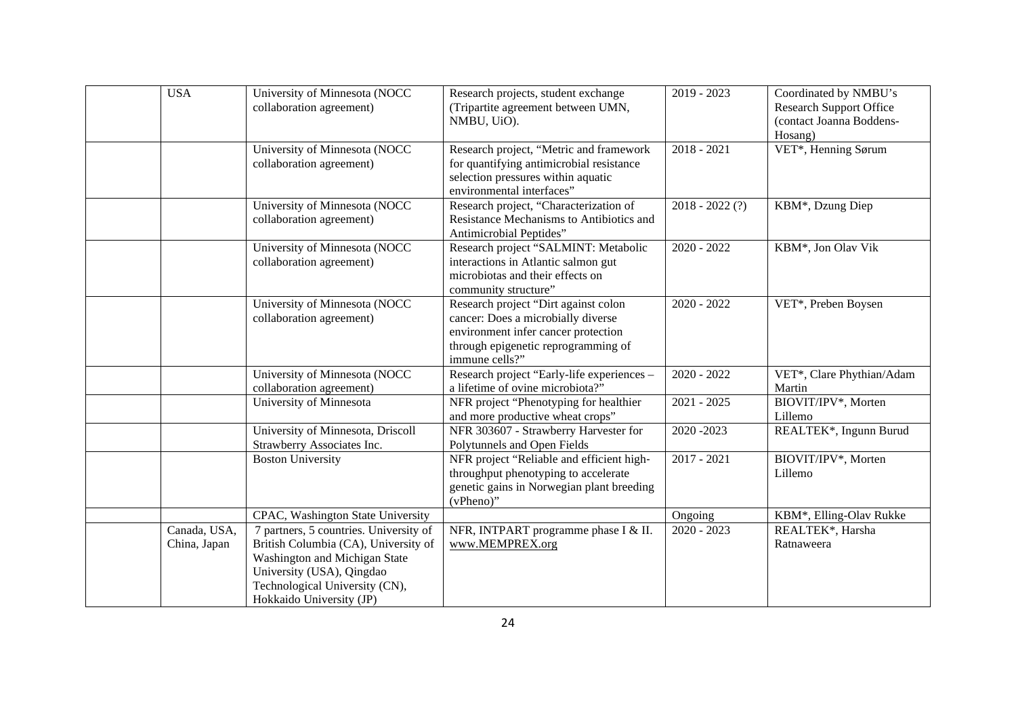| <b>USA</b>                   | University of Minnesota (NOCC<br>collaboration agreement)                                                                                                                                                  | Research projects, student exchange<br>(Tripartite agreement between UMN,<br>NMBU, UiO).                                                                                   | $2019 - 2023$     | Coordinated by NMBU's<br><b>Research Support Office</b><br>(contact Joanna Boddens-<br>Hosang) |
|------------------------------|------------------------------------------------------------------------------------------------------------------------------------------------------------------------------------------------------------|----------------------------------------------------------------------------------------------------------------------------------------------------------------------------|-------------------|------------------------------------------------------------------------------------------------|
|                              | University of Minnesota (NOCC<br>collaboration agreement)                                                                                                                                                  | Research project, "Metric and framework<br>for quantifying antimicrobial resistance<br>selection pressures within aquatic<br>environmental interfaces"                     | $2018 - 2021$     | VET*, Henning Sørum                                                                            |
|                              | University of Minnesota (NOCC<br>collaboration agreement)                                                                                                                                                  | Research project, "Characterization of<br>Resistance Mechanisms to Antibiotics and<br>Antimicrobial Peptides"                                                              | $2018 - 2022$ (?) | KBM*, Dzung Diep                                                                               |
|                              | University of Minnesota (NOCC<br>collaboration agreement)                                                                                                                                                  | Research project "SALMINT: Metabolic<br>interactions in Atlantic salmon gut<br>microbiotas and their effects on<br>community structure"                                    | $2020 - 2022$     | KBM*, Jon Olav Vik                                                                             |
|                              | University of Minnesota (NOCC<br>collaboration agreement)                                                                                                                                                  | Research project "Dirt against colon<br>cancer: Does a microbially diverse<br>environment infer cancer protection<br>through epigenetic reprogramming of<br>immune cells?" | $2020 - 2022$     | VET*, Preben Boysen                                                                            |
|                              | University of Minnesota (NOCC<br>collaboration agreement)                                                                                                                                                  | Research project "Early-life experiences -<br>a lifetime of ovine microbiota?"                                                                                             | $2020 - 2022$     | VET*, Clare Phythian/Adam<br>Martin                                                            |
|                              | University of Minnesota                                                                                                                                                                                    | NFR project "Phenotyping for healthier<br>and more productive wheat crops"                                                                                                 | $2021 - 2025$     | BIOVIT/IPV*, Morten<br>Lillemo                                                                 |
|                              | University of Minnesota, Driscoll<br>Strawberry Associates Inc.                                                                                                                                            | NFR 303607 - Strawberry Harvester for<br>Polytunnels and Open Fields                                                                                                       | 2020-2023         | REALTEK*, Ingunn Burud                                                                         |
|                              | <b>Boston University</b>                                                                                                                                                                                   | NFR project "Reliable and efficient high-<br>throughput phenotyping to accelerate<br>genetic gains in Norwegian plant breeding<br>(vPheno)"                                | $2017 - 2021$     | BIOVIT/IPV*, Morten<br>Lillemo                                                                 |
|                              | CPAC, Washington State University                                                                                                                                                                          |                                                                                                                                                                            | Ongoing           | KBM*, Elling-Olav Rukke                                                                        |
| Canada, USA,<br>China, Japan | 7 partners, 5 countries. University of<br>British Columbia (CA), University of<br>Washington and Michigan State<br>University (USA), Qingdao<br>Technological University (CN),<br>Hokkaido University (JP) | NFR, INTPART programme phase I & II.<br>www.MEMPREX.org                                                                                                                    | $2020 - 2023$     | REALTEK*, Harsha<br>Ratnaweera                                                                 |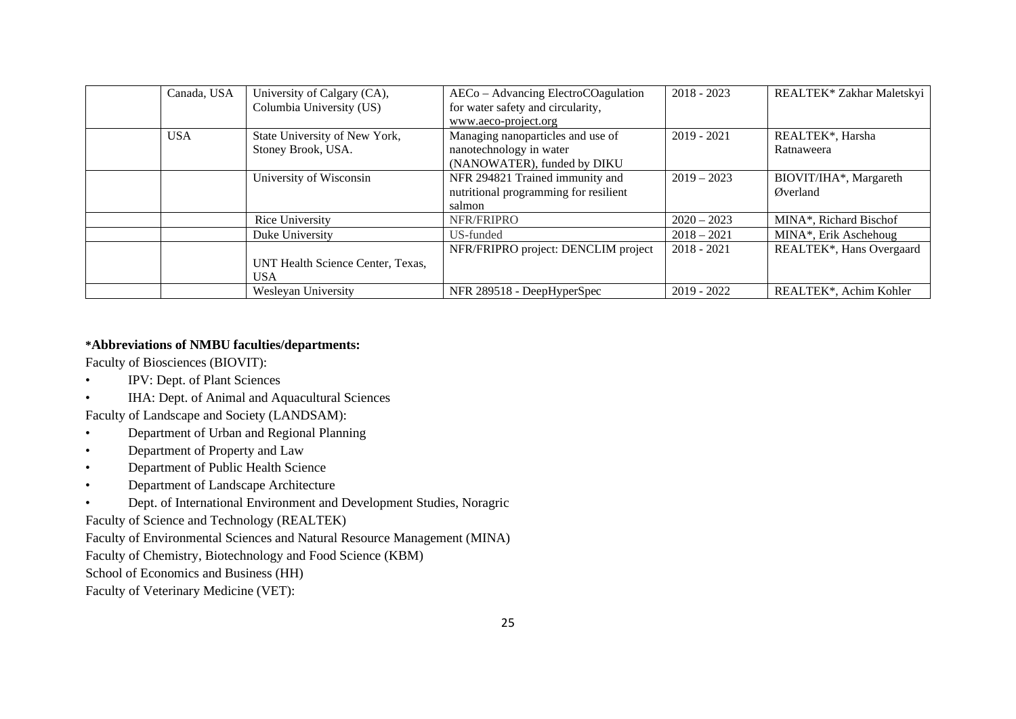| Canada, USA | University of Calgary (CA),       | AECo - Advancing ElectroCOagulation   | $2018 - 2023$ | REALTEK* Zakhar Maletskyi |
|-------------|-----------------------------------|---------------------------------------|---------------|---------------------------|
|             | Columbia University (US)          | for water safety and circularity,     |               |                           |
|             |                                   | www.aeco-project.org                  |               |                           |
| <b>USA</b>  | State University of New York,     | Managing nanoparticles and use of     | $2019 - 2021$ | REALTEK*, Harsha          |
|             | Stoney Brook, USA.                | nanotechnology in water               |               | Ratnaweera                |
|             |                                   | (NANOWATER), funded by DIKU           |               |                           |
|             | University of Wisconsin           | NFR 294821 Trained immunity and       | $2019 - 2023$ | BIOVIT/IHA*, Margareth    |
|             |                                   | nutritional programming for resilient |               | Øverland                  |
|             |                                   | salmon                                |               |                           |
|             | Rice University                   | NFR/FRIPRO                            | $2020 - 2023$ | MINA*, Richard Bischof    |
|             | Duke University                   | US-funded                             | $2018 - 2021$ | MINA*, Erik Aschehoug     |
|             |                                   | NFR/FRIPRO project: DENCLIM project   | $2018 - 2021$ | REALTEK*, Hans Overgaard  |
|             | UNT Health Science Center, Texas, |                                       |               |                           |
|             | <b>USA</b>                        |                                       |               |                           |
|             | Wesleyan University               | NFR 289518 - DeepHyperSpec            | $2019 - 2022$ | REALTEK*, Achim Kohler    |

## **\*Abbreviations of NMBU faculties/departments:**

Faculty of Biosciences (BIOVIT):

- IPV: Dept. of Plant Sciences
- IHA: Dept. of Animal and Aquacultural Sciences

Faculty of Landscape and Society (LANDSAM):

- Department of Urban and Regional Planning
- Department of Property and Law
- Department of Public Health Science
- Department of Landscape Architecture
- Dept. of International Environment and Development Studies, Noragric

Faculty of Science and Technology (REALTEK)

Faculty of Environmental Sciences and Natural Resource Management (MINA)

Faculty of Chemistry, Biotechnology and Food Science (KBM)

School of Economics and Business (HH)

Faculty of Veterinary Medicine (VET):